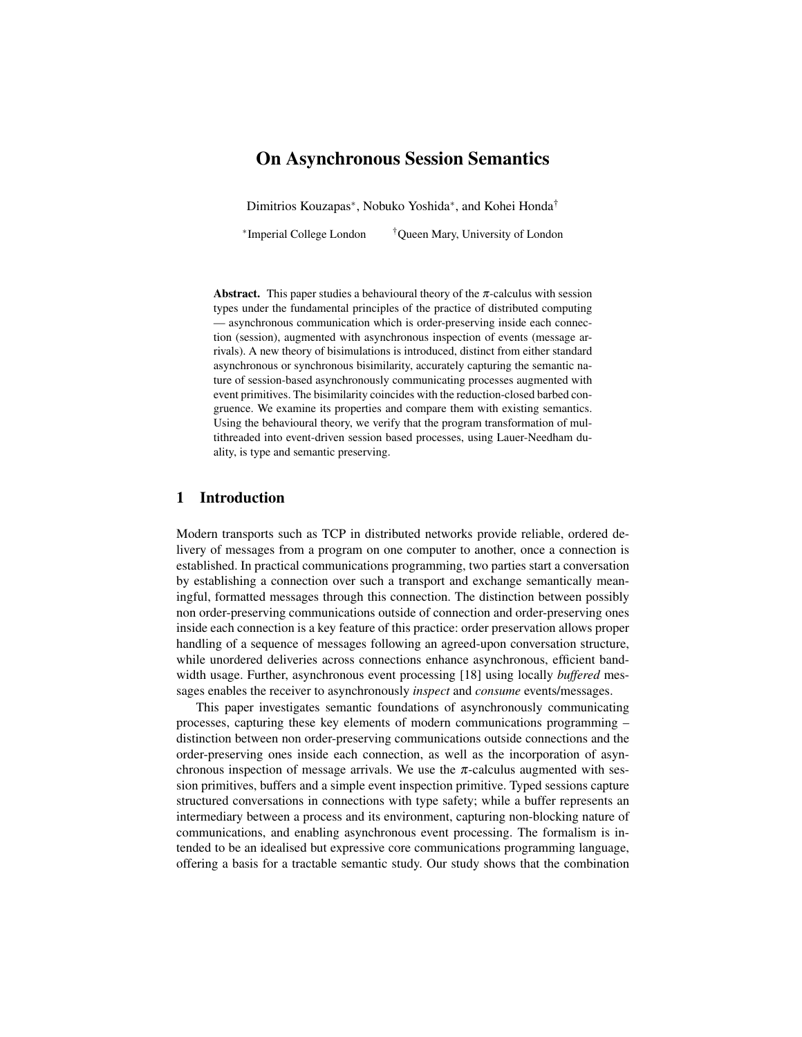## On Asynchronous Session Semantics

Dimitrios Kouzapas<sup>∗</sup> , Nobuko Yoshida<sup>∗</sup> , and Kohei Honda†

\*Imperial College London  $\bar{U}$ Queen Mary, University of London

**Abstract.** This paper studies a behavioural theory of the  $\pi$ -calculus with session types under the fundamental principles of the practice of distributed computing — asynchronous communication which is order-preserving inside each connection (session), augmented with asynchronous inspection of events (message arrivals). A new theory of bisimulations is introduced, distinct from either standard asynchronous or synchronous bisimilarity, accurately capturing the semantic nature of session-based asynchronously communicating processes augmented with event primitives. The bisimilarity coincides with the reduction-closed barbed congruence. We examine its properties and compare them with existing semantics. Using the behavioural theory, we verify that the program transformation of multithreaded into event-driven session based processes, using Lauer-Needham duality, is type and semantic preserving.

## 1 Introduction

Modern transports such as TCP in distributed networks provide reliable, ordered delivery of messages from a program on one computer to another, once a connection is established. In practical communications programming, two parties start a conversation by establishing a connection over such a transport and exchange semantically meaningful, formatted messages through this connection. The distinction between possibly non order-preserving communications outside of connection and order-preserving ones inside each connection is a key feature of this practice: order preservation allows proper handling of a sequence of messages following an agreed-upon conversation structure, while unordered deliveries across connections enhance asynchronous, efficient bandwidth usage. Further, asynchronous event processing [18] using locally *buffered* messages enables the receiver to asynchronously *inspect* and *consume* events/messages.

This paper investigates semantic foundations of asynchronously communicating processes, capturing these key elements of modern communications programming – distinction between non order-preserving communications outside connections and the order-preserving ones inside each connection, as well as the incorporation of asynchronous inspection of message arrivals. We use the  $\pi$ -calculus augmented with session primitives, buffers and a simple event inspection primitive. Typed sessions capture structured conversations in connections with type safety; while a buffer represents an intermediary between a process and its environment, capturing non-blocking nature of communications, and enabling asynchronous event processing. The formalism is intended to be an idealised but expressive core communications programming language, offering a basis for a tractable semantic study. Our study shows that the combination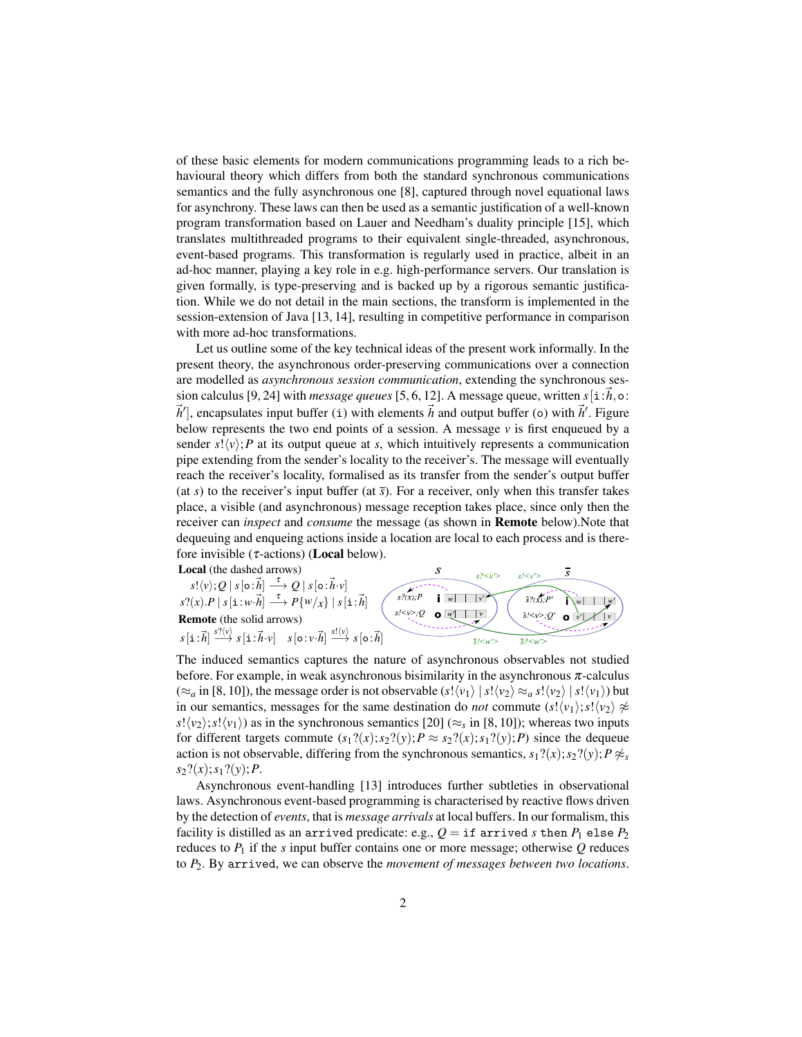of these basic elements for modern communications programming leads to a rich behavioural theory which differs from both the standard synchronous communications semantics and the fully asynchronous one [8], captured through novel equational laws for asynchrony. These laws can then be used as a semantic justification of a well-known program transformation based on Lauer and Needham's duality principle [15], which translates multithreaded programs to their equivalent single-threaded, asynchronous, event-based programs. This transformation is regularly used in practice, albeit in an ad-hoc manner, playing a key role in e.g. high-performance servers. Our translation is given formally, is type-preserving and is backed up by a rigorous semantic justification. While we do not detail in the main sections, the transform is implemented in the session-extension of Java [13, 14], resulting in competitive performance in comparison with more ad-hoc transformations.

Let us outline some of the key technical ideas of the present work informally. In the present theory, the asynchronous order-preserving communications over a connection are modelled as *asynchronous session communication*, extending the synchronous session calculus [9, 24] with *message queues* [5, 6, 12]. A message queue, written  $s[i:\vec{h},\text{o}:$  $\vec{h}$ <sup>'</sup>], encapsulates input buffer (i) with elements  $\vec{h}$  and output buffer (o) with  $\vec{h}$ <sup>'</sup>. Figure below represents the two end points of a session. A message *v* is first enqueued by a sender  $s! \langle v \rangle; P$  at its output queue at *s*, which intuitively represents a communication pipe extending from the sender's locality to the receiver's. The message will eventually reach the receiver's locality, formalised as its transfer from the sender's output buffer (at  $s$ ) to the receiver's input buffer (at  $\bar{s}$ ). For a receiver, only when this transfer takes place, a visible (and asynchronous) message reception takes place, since only then the receiver can *inspect* and *consume* the message (as shown in Remote below).Note that dequeuing and enqueing actions inside a location are local to each process and is therefore invisible ( $\tau$ -actions) (**Local** below).

Local (the dashed arrows)

| $s!$ ( $\nu$ ); $Q   s$ [o: $\vec{h}$ ] $\xrightarrow{\tau}$ $Q   s$ [o: $\vec{h} \cdot \nu$ ]                                                                                                                                                                                                                                                                                                                                                                                                                                                                                                                                                                                                                                                                                                                                                                                                                                                                                                                                                                                           |
|------------------------------------------------------------------------------------------------------------------------------------------------------------------------------------------------------------------------------------------------------------------------------------------------------------------------------------------------------------------------------------------------------------------------------------------------------------------------------------------------------------------------------------------------------------------------------------------------------------------------------------------------------------------------------------------------------------------------------------------------------------------------------------------------------------------------------------------------------------------------------------------------------------------------------------------------------------------------------------------------------------------------------------------------------------------------------------------|
| $s?$ ( $x)$ . $P   s$ [i: $w \cdot \vec{h}$ ] $\xrightarrow{\tau}$ $P$ { $w/x$ }   s [i: $\vec{h}$ ]                                                                                                                                                                                                                                                                                                                                                                                                                                                                                                                                                                                                                                                                                                                                                                                                                                                                                                                                                                                     |
| $s?$ ( $x$ ). $P   s$ [i: $w \cdot \vec{h}$ ] $\xrightarrow{\tau}$ $P$ { $w/x$ }   s [i: $\vec{h}$ ]                                                                                                                                                                                                                                                                                                                                                                                                                                                                                                                                                                                                                                                                                                                                                                                                                                                                                                                                                                                     |
| $s$ ( $x$ ): $Q$ $\xrightarrow{\omega}$ $\xrightarrow{\tau}$ $\xrightarrow{\tau}$ $\xrightarrow{\tau}$ $\xrightarrow{\tau}$ $\xrightarrow{\tau}$ $\xrightarrow{\tau}$ $\xrightarrow{\tau}$ $\xrightarrow{\tau}$ $\xrightarrow{\tau}$ $\xrightarrow{\tau}$ $\xrightarrow{\tau}$ $\xrightarrow{\tau}$ $\xrightarrow{\tau}$ $\xrightarrow{\tau}$ $\xrightarrow{\tau}$ $\xrightarrow{\tau}$ $\xrightarrow{\tau}$ $\xrightarrow{\tau}$ $\xrightarrow{\tau}$ $\xrightarrow{\tau}$ $\xrightarrow{\tau}$ $\xrightarrow{\tau}$ $\xrightarrow{\tau}$ $\xrightarrow{\tau}$ $\xrightarrow{\tau}$ $\xrightarrow{\tau}$ $\xrightarrow{\tau}$ $\xrightarrow{\tau}$ $\xrightarrow{\tau}$ $\xrightarrow{\tau}$ $\xrightarrow{\tau}$ $\xrightarrow{\tau}$ $\xrightarrow{\tau}$ $\xrightarrow{\tau}$ $\xrightarrow{\tau}$ $\xrightarrow{\tau}$ $\xrightarrow{\tau}$ $\xrightarrow{\tau}$ $\xrightarrow{\tau}$ $\xrightarrow{\tau}$ $\xrightarrow{\tau}$ $\xrightarrow{\tau}$ $\xrightarrow{\tau}$ $\xrightarrow{\tau}$ $\xrightarrow{\tau}$ $\xrightarrow{\tau}$ $\xrightarrow{\tau}$ <math< td=""></math<> |

 $\mathbf{c}$ 

The induced semantics captures the nature of asynchronous observables not studied before. For example, in weak asynchronous bisimilarity in the asynchronous  $\pi$ -calculus  $(\approx_a \text{in } [8, 10])$ , the message order is not observable  $(s! \langle v_1 \rangle | s! \langle v_2 \rangle \approx_a s! \langle v_2 \rangle | s! \langle v_1 \rangle)$  but in our semantics, messages for the same destination do *not* commute  $(s! \langle v_1 \rangle; s! \langle v_2 \rangle \not\approx$  $s! \langle v_2 \rangle$ ;  $s! \langle v_1 \rangle$  as in the synchronous semantics [20] ( $\approx$ <sub>s</sub> in [8, 10]); whereas two inputs for different targets commute  $(s_1?((x); s_2?((y); P \approx s_2?((x); s_1?((y); P)$  since the dequeue action is not observable, differing from the synchronous semantics,  $s_1$ ?(*x*); $s_2$ ?(*y*);*P*  $\approx_s$  $s_2$ ?(*x*);  $s_1$ ?(*y*); *P*.

Asynchronous event-handling [13] introduces further subtleties in observational laws. Asynchronous event-based programming is characterised by reactive flows driven by the detection of *events*, that is *message arrivals* at local buffers. In our formalism, this facility is distilled as an arrived predicate: e.g.,  $Q =$  if arrived *s* then  $P_1$  else  $P_2$ reduces to  $P_1$  if the *s* input buffer contains one or more message; otherwise  $Q$  reduces to *P*2. By arrived, we can observe the *movement of messages between two locations*.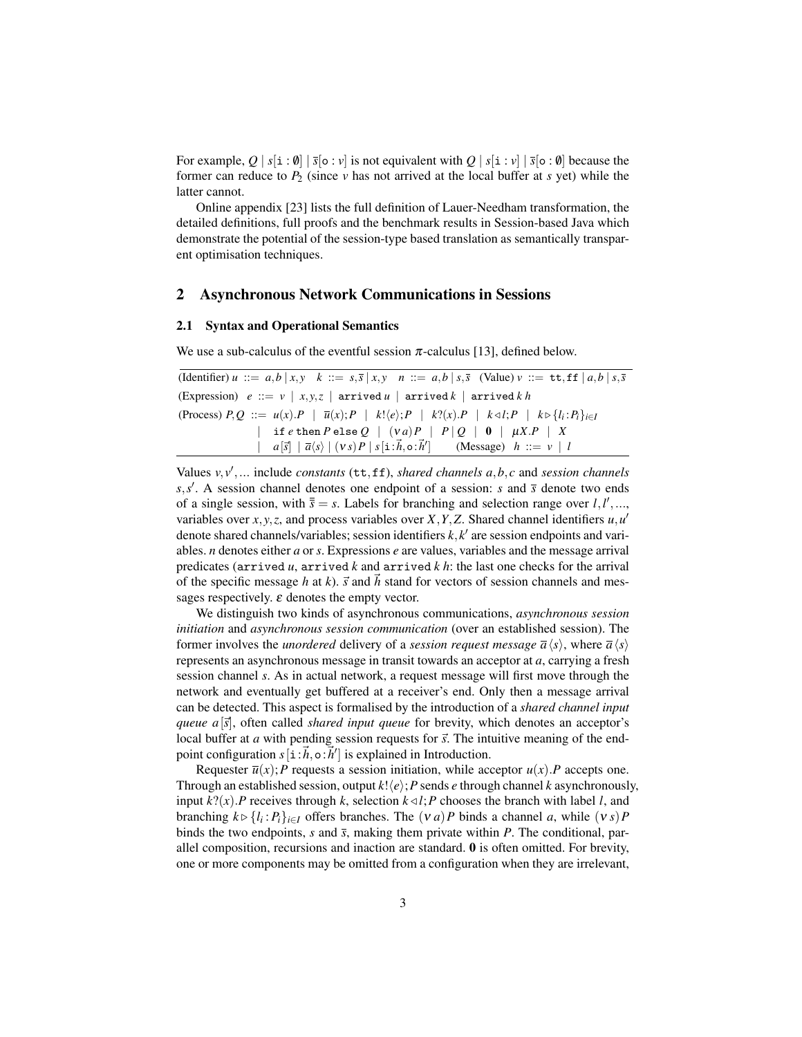For example,  $Q \mid s[i : \emptyset] \mid \overline{s}[\circ : v]$  is not equivalent with  $Q \mid s[i : v] \mid \overline{s}[\circ : \emptyset]$  because the former can reduce to  $P_2$  (since  $\nu$  has not arrived at the local buffer at *s* yet) while the latter cannot.

Online appendix [23] lists the full definition of Lauer-Needham transformation, the detailed definitions, full proofs and the benchmark results in Session-based Java which demonstrate the potential of the session-type based translation as semantically transparent optimisation techniques.

## 2 Asynchronous Network Communications in Sessions

### 2.1 Syntax and Operational Semantics

We use a sub-calculus of the eventful session  $\pi$ -calculus [13], defined below.

 $(\text{Identity } u ::= a, b | x, y \ k ::= s, \overline{s} | x, y \ n ::= a, b | s, \overline{s} \ ( \text{Value } ) v ::= \text{tt}, \text{ft} | a, b | s, \overline{s} \$ (Expression)  $e ::= v | x, y, z | \text{arrived } u | \text{arrived } k | \text{arrived } k h$ (Process)  $P, Q ::= u(x).P \mid \overline{u}(x); P \mid k! \langle e \rangle; P \mid k? \langle x \rangle. P \mid k \triangleleft l; P \mid k \triangleright \{l_i : P_i\}_{i \in I}$  $\left| \text{ if } e \text{ then } P \text{ else } Q \right| \left| (va)P \right| P | Q \left| 0 \right| \mu X.P \mid X$  $| a [ \vec{s} ] | [ \vec{a} \langle s \rangle | ( \nu s) P | s [ \texttt{i} \texttt{:} \vec{h}, \texttt{o} \texttt{:} \vec{h}' ]$ (Message)  $h ::= v | l$ 

Values  $v, v', \ldots$  include *constants* (tt,ff), *shared channels a,b,c* and *session channels*  $s, s'$ . A session channel denotes one endpoint of a session: *s* and  $\overline{s}$  denote two ends of a single session, with  $\bar{\bar{s}} = s$ . Labels for branching and selection range over  $l, l', ...,$ variables over  $x, y, z$ , and process variables over  $X, Y, Z$ . Shared channel identifiers  $u, u'$ denote shared channels/variables; session identifiers  $k$ ,  $k'$  are session endpoints and variables. *n* denotes either *a* or *s*. Expressions *e* are values, variables and the message arrival predicates (arrived *u*, arrived *k* and arrived *k h*: the last one checks for the arrival of the specific message *h* at *k*).  $\vec{s}$  and  $\vec{h}$  stand for vectors of session channels and messages respectively.  $\varepsilon$  denotes the empty vector.

We distinguish two kinds of asynchronous communications, *asynchronous session initiation* and *asynchronous session communication* (over an established session). The former involves the *unordered* delivery of a *session request message*  $\bar{a}\langle s \rangle$ , where  $\bar{a}\langle s \rangle$ represents an asynchronous message in transit towards an acceptor at *a*, carrying a fresh session channel *s*. As in actual network, a request message will first move through the network and eventually get buffered at a receiver's end. Only then a message arrival can be detected. This aspect is formalised by the introduction of a *shared channel input queue a*[ $\bar{s}$ ], often called *shared input queue* for brevity, which denotes an acceptor's local buffer at *a* with pending session requests for  $\vec{s}$ . The intuitive meaning of the endpoint configuration  $s$   $[\n\cdot \vec{h}, \cdot \cdot \vec{h}']$  is explained in Introduction.

Requester  $\overline{u}(x)$ ; *P* requests a session initiation, while acceptor  $u(x)$ . *P* accepts one. Through an established session, output  $k! \langle e \rangle$ ; *P* sends *e* through channel *k* asynchronously, input  $k$ ?(*x*). P receives through *k*, selection  $k \triangleleft l$ ; P chooses the branch with label *l*, and branching  $k \triangleright \{l_i : P_i\}_{i \in I}$  offers branches. The  $(\nu \, a)P$  binds a channel *a*, while  $(\nu \, s)P$ binds the two endpoints, *s* and  $\bar{s}$ , making them private within *P*. The conditional, parallel composition, recursions and inaction are standard. 0 is often omitted. For brevity, one or more components may be omitted from a configuration when they are irrelevant,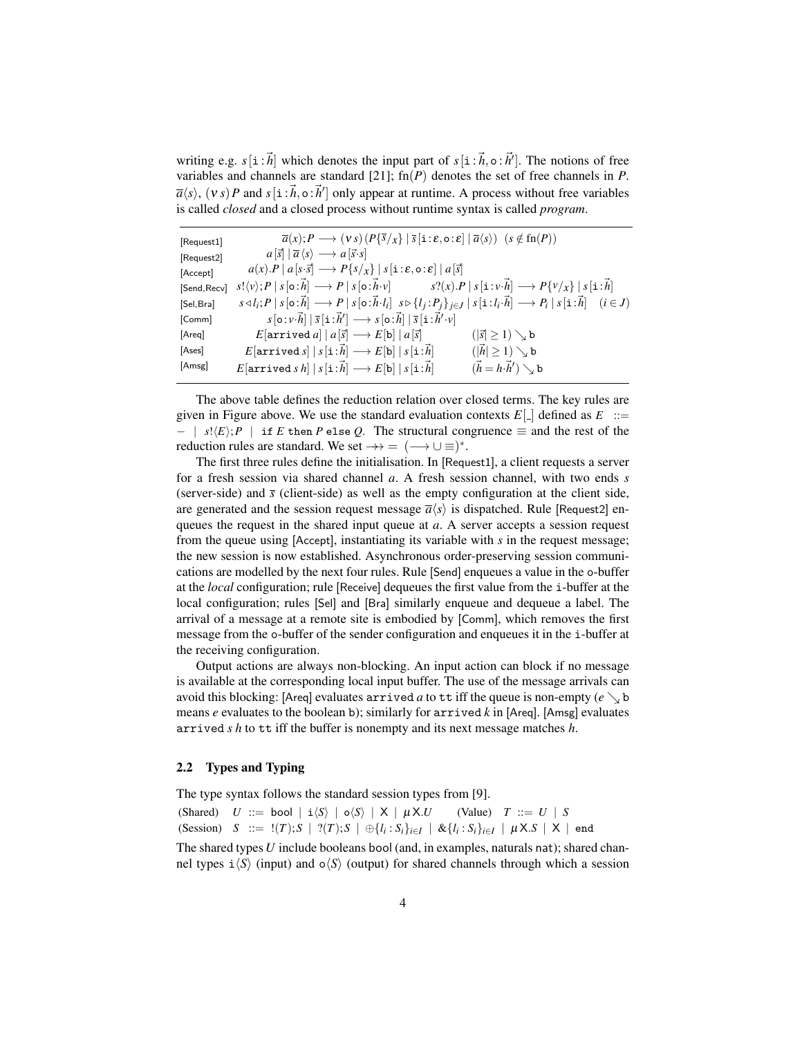writing e.g.  $s[i : \vec{h}]$  which denotes the input part of  $s[i : \vec{h}, o : \vec{h}']$ . The notions of free variables and channels are standard [21]; fn(*P*) denotes the set of free channels in *P*.  $\overline{a}\langle s \rangle$ ,  $(v s)P$  and  $s[i : \overrightarrow{h}, o : \overrightarrow{h}']$  only appear at runtime. A process without free variables is called *closed* and a closed process without runtime syntax is called *program*.

| [Request1]   | $\overline{a}(x); P \longrightarrow (v s) (P {\overline{s}}/x \mid \overline{s} [i:\varepsilon, o:\varepsilon]   \overline{a}\langle s \rangle)$ $(s \notin \text{fn}(P))$                                                                                                |                                                                                                                                                                                                                              |
|--------------|---------------------------------------------------------------------------------------------------------------------------------------------------------------------------------------------------------------------------------------------------------------------------|------------------------------------------------------------------------------------------------------------------------------------------------------------------------------------------------------------------------------|
| [Request2]   | $a \vec{s}   \vec{a}\langle s \rangle \longrightarrow a \vec{s}\cdot s $                                                                                                                                                                                                  |                                                                                                                                                                                                                              |
| [Accept]     | $a(x).P \mid a[s.\vec{s}] \longrightarrow P\{s/\chi\} \mid s[\mathbf{i}:\varepsilon,\mathbf{o}:\varepsilon] \mid a[\vec{s}]$                                                                                                                                              |                                                                                                                                                                                                                              |
| [Send, Recv] | $s! \langle v \rangle; P   s \circ \overrightarrow{h} \rangle \longrightarrow P   s \circ \overrightarrow{h} \cdot v  $ $s? \langle x \rangle, P   s \circ \overrightarrow{h} \cdot v \rangle \longrightarrow P \{ v \rangle \times   s \circ \overrightarrow{h} \rangle$ |                                                                                                                                                                                                                              |
| [Sel, Bra]   |                                                                                                                                                                                                                                                                           | $s \triangleleft l_i$ ; $P   s [\circ : \vec{h}] \longrightarrow P   s [\circ : \vec{h} \cdot l_i]$ $s \triangleright \{l_i : P_i\}_{i \in J}   s [i : l_i \cdot \vec{h}] \longrightarrow P_i   s [i : \vec{h}]$ $(i \in J)$ |
| [Comm]       | $s[\circ : v \cdot \vec{h}]   \overline{s}[\mathbf{i} : \vec{h}'] \longrightarrow s[\circ : \vec{h}]   \overline{s}[\mathbf{i} : \vec{h}' \cdot v]$                                                                                                                       |                                                                                                                                                                                                                              |
| [Areq]       | $E[$ arrived $a]   a[\vec{s}] \longrightarrow E[\text{b}]   a[\vec{s}]$                                                                                                                                                                                                   | $( \vec{s}  > 1) \setminus b$                                                                                                                                                                                                |
| [Ases]       | $E[\text{arrived } s]   s[i:\vec{h}] \longrightarrow E[\text{b}]   s[i:\vec{h}]$                                                                                                                                                                                          | $( \vec{h}  \geq 1) \searrow b$                                                                                                                                                                                              |
| [Amsg]       | $E[\text{arrived } s h]   s[i: \vec{h}] \longrightarrow E[\text{b}]   s[i: \vec{h}]$                                                                                                                                                                                      | $(\vec{h} = h \cdot \vec{h}') \searrow b$                                                                                                                                                                                    |

The above table defines the reduction relation over closed terms. The key rules are given in Figure above. We use the standard evaluation contexts  $E[\_]$  defined as  $E$  ::=  $-$  |  $s!(E);P$  | if *E* then *P* else *Q*. The structural congruence  $\equiv$  and the rest of the reduction rules are standard. We set  $\rightarrow$   $\rightarrow$   $($   $\rightarrow$   $\cup$   $\equiv$   $)$ <sup>\*</sup>.

The first three rules define the initialisation. In [Request1], a client requests a server for a fresh session via shared channel *a*. A fresh session channel, with two ends *s* (server-side) and *s* (client-side) as well as the empty configuration at the client side, are generated and the session request message  $\overline{a}\langle s \rangle$  is dispatched. Rule [Request2] enqueues the request in the shared input queue at *a*. A server accepts a session request from the queue using [Accept], instantiating its variable with *s* in the request message; the new session is now established. Asynchronous order-preserving session communications are modelled by the next four rules. Rule [Send] enqueues a value in the o-buffer at the *local* configuration; rule [Receive] dequeues the first value from the i-buffer at the local configuration; rules [Sel] and [Bra] similarly enqueue and dequeue a label. The arrival of a message at a remote site is embodied by [Comm], which removes the first message from the o-buffer of the sender configuration and enqueues it in the i-buffer at the receiving configuration.

Output actions are always non-blocking. An input action can block if no message is available at the corresponding local input buffer. The use of the message arrivals can avoid this blocking: [Areq] evaluates arrived *a* to tt iff the queue is non-empty ( $e \searrow b$ means *e* evaluates to the boolean b); similarly for arrived *k* in [Areq]. [Amsg] evaluates arrived *s h* to tt iff the buffer is nonempty and its next message matches *h*.

## 2.2 Types and Typing

The type syntax follows the standard session types from [9].

(Shared) *U* ::= bool  $| i \langle S \rangle | o \langle S \rangle | X | \mu X.U$  (Value) *T* ::= *U* | *S*  $(Session)$  *S*  $::=$   $!(T);S$   $|$   $?(T);S$   $|$   $\oplus\{l_i:S_i\}_{i\in I}$   $|$   $\&\{l_i:S_i\}_{i\in I}$   $|$   $\mu$   $\hbox{X}.S$   $|$   $\hbox{X}$   $|$   $\hbox{end}$ 

The shared types *U* include booleans bool (and, in examples, naturals nat); shared channel types  $\pm \langle S \rangle$  (input) and  $\circ \langle S \rangle$  (output) for shared channels through which a session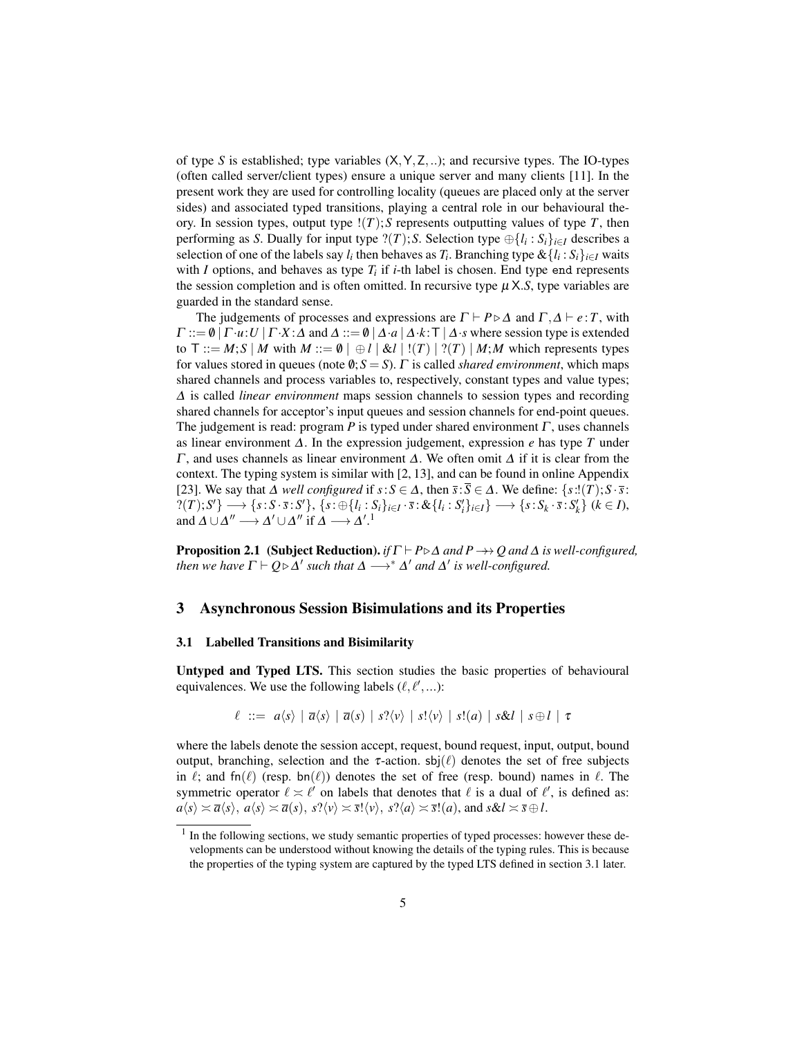of type *S* is established; type variables (X,Y,Z,..); and recursive types. The IO-types (often called server/client types) ensure a unique server and many clients [11]. In the present work they are used for controlling locality (queues are placed only at the server sides) and associated typed transitions, playing a central role in our behavioural theory. In session types, output type  $!(T); S$  represents outputting values of type  $T$ , then performing as *S*. Dually for input type  $?(T)$ ; *S*. Selection type  $\bigoplus \{l_i : S_i\}_{i \in I}$  describes a selection of one of the labels say  $l_i$  then behaves as  $T_i$ . Branching type  $\&\{l_i : S_i\}_{i\in I}$  waits with  $I$  options, and behaves as type  $T_i$  if  $i$ -th label is chosen. End type end represents the session completion and is often omitted. In recursive type  $\mu$  X.S, type variables are guarded in the standard sense.

The judgements of processes and expressions are  $\Gamma \vdash P \triangleright \Delta$  and  $\Gamma, \Delta \vdash e : T$ , with  $\Gamma ::= \emptyset | \Gamma \cdot u : U | \Gamma \cdot X : \Delta$  and  $\Delta ::= \emptyset | \Delta \cdot a | \Delta \cdot k : \Gamma | \Delta \cdot s$  where session type is extended to  $T ::= M; S | M$  with  $M ::= \emptyset | \oplus l | \& l | !(T) | ?(T) | M; M$  which represents types for values stored in queues (note  $\emptyset$ ;  $S = S$ ).  $\Gamma$  is called *shared environment*, which maps shared channels and process variables to, respectively, constant types and value types; ∆ is called *linear environment* maps session channels to session types and recording shared channels for acceptor's input queues and session channels for end-point queues. The judgement is read: program *P* is typed under shared environment  $\Gamma$ , uses channels as linear environment ∆. In the expression judgement, expression *e* has type *T* under Γ , and uses channels as linear environment ∆. We often omit ∆ if it is clear from the context. The typing system is similar with [2, 13], and can be found in online Appendix [23]. We say that ∆ *well configured* if *s*:*S* ∈ ∆, then *s*:*S* ∈ ∆. We define: {*s*:!(*T*);*S* ·*s*:  $?(T);S'\} \longrightarrow \{s: S \cdot \overline{s}: S'\},\{s: \bigoplus \{l_i: S_i\}_{i \in I} \cdot \overline{s}: \& \{l_i: S'_i\}_{i \in I}\} \longrightarrow \{s: S_k \cdot \overline{s}: S'_k\}$  ( $k \in I$ ), and  $\Delta \cup \Delta'' \longrightarrow \Delta' \cup \Delta''$  if  $\Delta \longrightarrow \Delta'$ .<sup>1</sup>

**Proposition 2.1** (Subject Reduction). *if*  $\Gamma \vdash P \triangleright \Delta$  *and*  $P \rightarrow \triangle Q$  *and*  $\Delta$  *is well-configured, then we have*  $\Gamma \vdash Q \triangleright \Delta'$  such that  $\Delta \longrightarrow^* \Delta'$  and  $\Delta'$  is well-configured.

## 3 Asynchronous Session Bisimulations and its Properties

#### 3.1 Labelled Transitions and Bisimilarity

Untyped and Typed LTS. This section studies the basic properties of behavioural equivalences. We use the following labels  $(\ell, \ell', \ldots)$ :

$$
\ell \ ::= \ a \langle s \rangle \ | \ \overline{a} \langle s \rangle \ | \ \overline{a} \langle s \rangle \ | \ s? \langle v \rangle \ | \ s! \langle v \rangle \ | \ s! \langle a \rangle \ | \ s \& l \ | \ s \oplus l \ | \ \tau
$$

where the labels denote the session accept, request, bound request, input, output, bound output, branching, selection and the  $\tau$ -action. sbj $(\ell)$  denotes the set of free subjects in  $\ell$ ; and fn( $\ell$ ) (resp. bn( $\ell$ )) denotes the set of free (resp. bound) names in  $\ell$ . The symmetric operator  $\ell \asymp \ell'$  on labels that denotes that  $\ell$  is a dual of  $\ell'$ , is defined as:  $a\langle s \rangle \approx \overline{a}\langle s \rangle$ ,  $a\langle s \rangle \approx \overline{a}(s)$ ,  $s\langle s \rangle \approx \overline{s}\langle s \rangle$ ,  $s\langle s \rangle \approx \overline{s}\langle a \rangle$ , and  $s\&l \approx \overline{s} \oplus l$ .

<sup>&</sup>lt;sup>1</sup> In the following sections, we study semantic properties of typed processes: however these developments can be understood without knowing the details of the typing rules. This is because the properties of the typing system are captured by the typed LTS defined in section 3.1 later.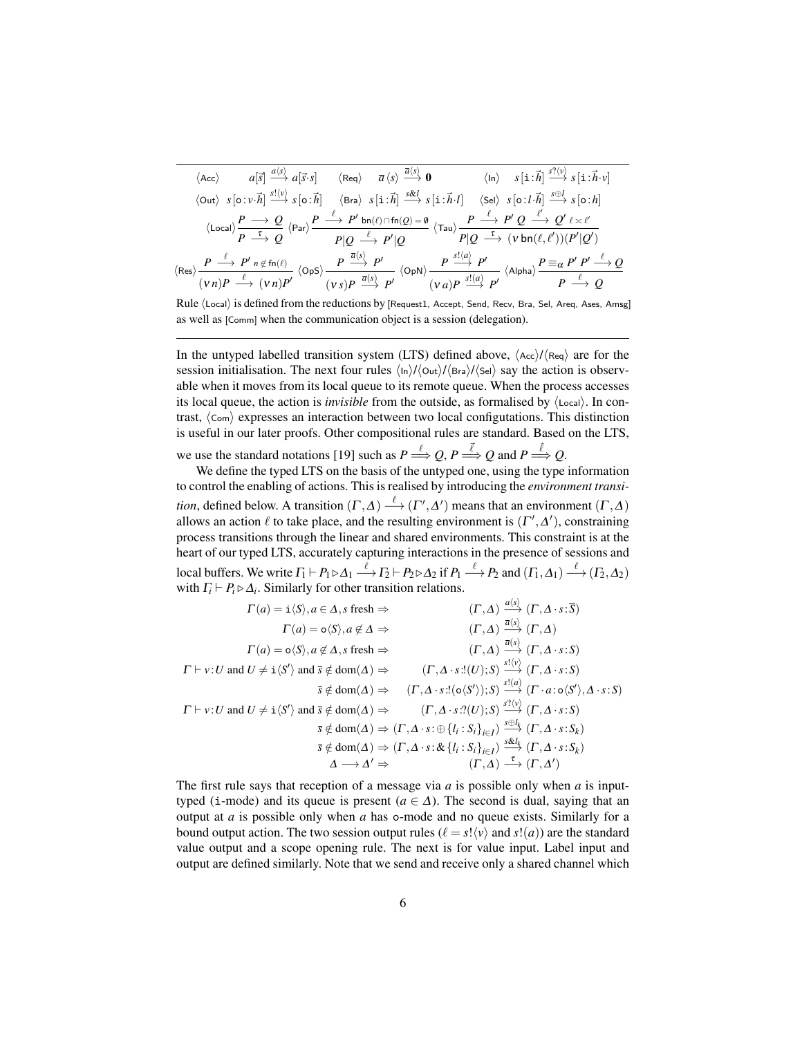$$
\langle \text{Acc} \rangle \quad a[\vec{s}] \xrightarrow{a\langle s \rangle} a[\vec{s} \cdot s] \quad \langle \text{Req} \rangle \quad \vec{a} \langle s \rangle \xrightarrow{\vec{a} \langle s \rangle} 0 \quad \langle \text{In} \rangle \quad s[\text{i}: \vec{h}] \xrightarrow{s?(\nu)} s[\text{i}: \vec{h} \cdot \nu]
$$
\n
$$
\langle \text{Out} \rangle \quad s[\text{o}: \nu \cdot \vec{h}] \xrightarrow{s!(\nu)} s[\text{o}: \vec{h}] \quad \langle \text{Bra} \rangle \quad s[\text{i}: \vec{h}] \xrightarrow{s \& l} s[\text{i}: \vec{h} \cdot l] \quad \langle \text{Sel} \rangle \quad s[\text{o}: \vec{l} \cdot \vec{h}] \xrightarrow{s \& l} s[\text{o}: \vec{h}]
$$
\n
$$
\langle \text{Local} \rangle \xrightarrow{P \longrightarrow Q} \langle \text{Par} \rangle \xrightarrow{P \longrightarrow P' \text{bn}(\ell) \cap \text{fn}(\mathcal{Q}) = 0} \langle \text{Tau} \rangle \xrightarrow{P \longrightarrow P' Q \xrightarrow{\ell} P' Q \xrightarrow{\ell} \langle \ell \rangle} \langle \ell \rangle \langle \ell \rangle}
$$
\n
$$
\langle \text{Res} \rangle \xrightarrow{P \longrightarrow P \land \text{f} \land \text{f} \land \text{f}} \langle \text{Op} \rangle \xrightarrow{P \xrightarrow{\vec{a} \langle s \rangle} P'} \langle \text{Op} \text{N} \rangle \xrightarrow{P \xrightarrow{\vec{a} \langle \langle s \rangle} P'} \langle \text{Alpha} \rangle \xrightarrow{P \equiv \alpha P' P' \longrightarrow Q} \langle \text{H}_1 \rangle \langle \ell \rangle}
$$
\n
$$
\langle \text{Res} \rangle \xrightarrow{(Vn)P \longrightarrow (Vn)P'} \langle \text{Op} \text{S} \rangle \xrightarrow{P \xrightarrow{\vec{a} \langle s \rangle} P'} \langle \text{Op} \text{N} \rangle \xrightarrow{P \xrightarrow{s! \langle a \rangle} P'} \langle \text{Alpha} \rangle \xrightarrow{P \equiv \alpha P' P' \longrightarrow Q} \langle \text{P} \text{Q} \rangle \langle \text{Q} \text{Q} \rangle \langle \ell \rangle \langle \ell \rangle}
$$

Rule (Local) is defined from the reductions by [Request1, Accept, Send, Recv, Bra, Sel, Areq, Ases, Amsg] as well as [Comm] when the communication object is a session (delegation).

In the untyped labelled transition system (LTS) defined above,  $\langle Acc \rangle / \langle Reg \rangle$  are for the session initialisation. The next four rules  $\langle \ln \rangle / \langle \text{Out} \rangle / \langle \text{Bei} \rangle$  say the action is observable when it moves from its local queue to its remote queue. When the process accesses its local queue, the action is *invisible* from the outside, as formalised by  $\langle$ Local $\rangle$ . In contrast,  $\langle \text{Com} \rangle$  expresses an interaction between two local configutations. This distinction is useful in our later proofs. Other compositional rules are standard. Based on the LTS,

we use the standard notations [19] such as  $P \stackrel{\ell}{\Longrightarrow} Q$ ,  $P \stackrel{\overrightarrow{\ell}}{\Longrightarrow} Q$  and  $P \stackrel{\ell}{\Longrightarrow} Q$ .

We define the typed LTS on the basis of the untyped one, using the type information to control the enabling of actions. This is realised by introducing the *environment transition*, defined below. A transition  $(\Gamma, \Delta) \stackrel{\ell}{\longrightarrow} (\Gamma', \Delta')$  means that an environment  $(\Gamma, \Delta)$ allows an action  $\ell$  to take place, and the resulting environment is  $(\Gamma', \Delta')$ , constraining process transitions through the linear and shared environments. This constraint is at the heart of our typed LTS, accurately capturing interactions in the presence of sessions and local buffers. We write  $\Gamma_1 \vdash P_1 \triangleright \Delta_1 \stackrel{\ell}{\longrightarrow} \Gamma_2 \vdash P_2 \triangleright \Delta_2$  if  $P_1 \stackrel{\ell}{\longrightarrow} P_2$  and  $(\Gamma_1, \Delta_1) \stackrel{\ell}{\longrightarrow} (\Gamma_2, \Delta_2)$ with  $\Gamma_i \vdash P_i \triangleright \Delta_i$ . Similarly for other transition relations.

$$
\Gamma(a) = \mathbf{i}\langle S \rangle, a \in \Delta, s \text{ fresh} \Rightarrow (\Gamma, \Delta) \xrightarrow{a\langle s \rangle} (\Gamma, \Delta \cdot s : \overline{S})
$$
  
\n
$$
\Gamma(a) = \mathbf{o}\langle S \rangle, a \notin \Delta \Rightarrow (\Gamma, \Delta) \xrightarrow{\overline{a}\langle s \rangle} (\Gamma, \Delta)
$$
  
\n
$$
\Gamma(a) = \mathbf{o}\langle S \rangle, a \notin \Delta, s \text{ fresh} \Rightarrow (\Gamma, \Delta) \xrightarrow{\overline{a}\langle s \rangle} (\Gamma, \Delta \cdot s : S)
$$
  
\n
$$
\Gamma \vdash v : U \text{ and } U \neq \mathbf{i}\langle S' \rangle \text{ and } \overline{s} \notin \text{dom}(\Delta) \Rightarrow (\Gamma, \Delta \cdot s : !(\mathbf{o}\langle S' \rangle); S) \xrightarrow{s!(\mathbf{o}\rangle} (\Gamma, \Delta \cdot s : S)
$$
  
\n
$$
\overline{s} \notin \text{dom}(\Delta) \Rightarrow (\Gamma, \Delta \cdot s : !(\mathbf{o}\langle S' \rangle); S) \xrightarrow{s!(\mathbf{o}\rangle} (\Gamma \cdot a : \mathbf{o}\langle S' \rangle, \Delta \cdot s : S)
$$
  
\n
$$
\overline{s} \notin \text{dom}(\Delta) \Rightarrow (\Gamma, \Delta \cdot s : \mathbf{o}\{l_i : S_i\}_{i \in I}) \xrightarrow{s!(\mathbf{l}\rangle} (\Gamma, \Delta \cdot s : S_k)
$$
  
\n
$$
\overline{s} \notin \text{dom}(\Delta) \Rightarrow (\Gamma, \Delta \cdot s : \mathbf{g} \{l_i : S_i\}_{i \in I}) \xrightarrow{s!(\mathbf{l}\rangle} \xrightarrow{s!(\mathbf{l}\rangle} (\Gamma, \Delta \cdot s : S_k)
$$
  
\n
$$
\overline{s} \notin \text{dom}(\Delta) \Rightarrow (\Gamma, \Delta \cdot s : \mathbf{g} \{l_i : S_i\}_{i \in I}) \xrightarrow{s!(\mathbf{l}\rangle} (\Gamma, \Delta \cdot s : S_k)
$$
  
\n
$$
\Delta \longrightarrow \Delta' \Rightarrow (\Gamma, \Delta) \xrightarrow{\tau} (\Gamma, \Delta')
$$

The first rule says that reception of a message via *a* is possible only when *a* is inputtyped (i-mode) and its queue is present ( $a \in \Delta$ ). The second is dual, saying that an output at *a* is possible only when *a* has o-mode and no queue exists. Similarly for a bound output action. The two session output rules ( $\ell = s! \langle v \rangle$  and  $s! (a)$ ) are the standard value output and a scope opening rule. The next is for value input. Label input and output are defined similarly. Note that we send and receive only a shared channel which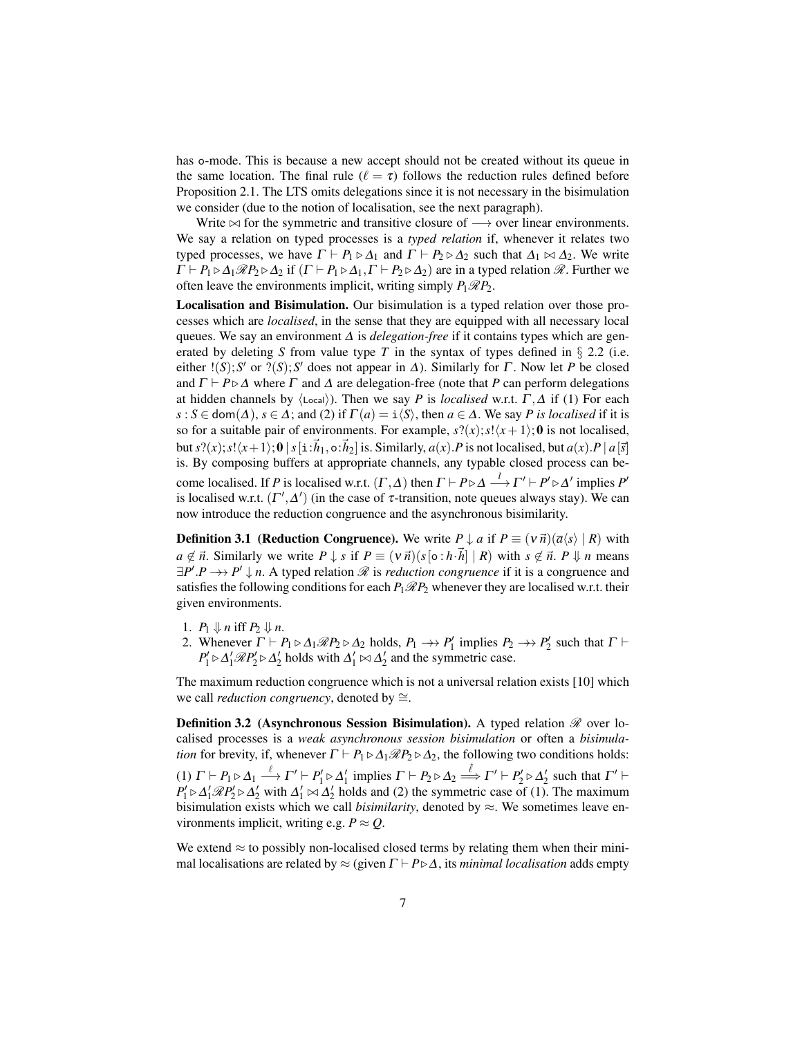has o-mode. This is because a new accept should not be created without its queue in the same location. The final rule  $(\ell = \tau)$  follows the reduction rules defined before Proposition 2.1. The LTS omits delegations since it is not necessary in the bisimulation we consider (due to the notion of localisation, see the next paragraph).

Write  $\bowtie$  for the symmetric and transitive closure of  $\longrightarrow$  over linear environments. We say a relation on typed processes is a *typed relation* if, whenever it relates two typed processes, we have  $\Gamma \vdash P_1 \triangleright \Delta_1$  and  $\Gamma \vdash P_2 \triangleright \Delta_2$  such that  $\Delta_1 \bowtie \Delta_2$ . We write  $\Gamma \vdash P_1 \triangleright \Delta_1 \mathcal{R} P_2 \triangleright \Delta_2$  if  $(\Gamma \vdash P_1 \triangleright \Delta_1, \Gamma \vdash P_2 \triangleright \Delta_2)$  are in a typed relation  $\mathcal{R}$ . Further we often leave the environments implicit, writing simply  $P_1\mathcal{R}P_2$ .

Localisation and Bisimulation. Our bisimulation is a typed relation over those processes which are *localised*, in the sense that they are equipped with all necessary local queues. We say an environment ∆ is *delegation-free* if it contains types which are generated by deleting *S* from value type *T* in the syntax of types defined in  $\S$  2.2 (i.e. either  $!(S); S'$  or  $?(S); S'$  does not appear in  $\Delta$ ). Similarly for  $\Gamma$ . Now let  $P$  be closed and  $\Gamma \vdash P \triangleright \Delta$  where  $\Gamma$  and  $\Delta$  are delegation-free (note that *P* can perform delegations at hidden channels by  $\langle$ Local $\rangle$ ). Then we say *P* is *localised* w.r.t.  $\Gamma$ ,  $\Delta$  if (1) For each  $s : S \in \text{dom}(\Delta)$ ,  $s \in \Delta$ ; and (2) if  $\Gamma(a) = \mathbf{i} \langle S \rangle$ , then  $a \in \Delta$ . We say *P is localised* if it is so for a suitable pair of environments. For example,  $s$ ? $(x); s! \langle x + 1 \rangle$ ; 0 is not localised, but  $s$ ?(*x*);  $s! \langle x+1 \rangle$ ;  $\mathbf{0} | s [i:\bar{h}_1, \circ : \bar{h}_2]$  is. Similarly,  $a(x)$ . P is not localised, but  $a(x)$ . P  $| a[\bar{s}]$ is. By composing buffers at appropriate channels, any typable closed process can become localised. If *P* is localised w.r.t.  $(\Gamma, \Delta)$  then  $\Gamma \vdash P \triangleright \Delta \stackrel{l}{\longrightarrow} \Gamma' \vdash P' \triangleright \Delta'$  implies  $P'$ is localised w.r.t.  $(\Gamma', \Delta')$  (in the case of  $\tau$ -transition, note queues always stay). We can now introduce the reduction congruence and the asynchronous bisimilarity.

**Definition 3.1** (Reduction Congruence). We write  $P \downarrow a$  if  $P \equiv (v \vec{n}) (\vec{a} \langle s \rangle \mid R)$  with  $a \notin \vec{n}$ . Similarly we write  $P \downarrow s$  if  $P \equiv (v \vec{n}) (s \cdot [o : h \cdot \vec{h}] \mid R)$  with  $s \notin \vec{n}$ .  $P \Downarrow n$  means  $\exists P'.P \rightarrow P' \downarrow n$ . A typed relation  $\mathcal R$  is *reduction congruence* if it is a congruence and satisfies the following conditions for each  $P_1\mathcal{R}P_2$  whenever they are localised w.r.t. their given environments.

- 1.  $P_1 \Downarrow n$  iff  $P_2 \Downarrow n$ .
- 2. Whenever  $\Gamma \vdash P_1 \triangleright \Delta_1 \mathcal{R} P_2 \triangleright \Delta_2$  holds,  $P_1 \rightarrow P_1'$  implies  $P_2 \rightarrow P_2'$  such that  $\Gamma \vdash$  $P'_1 \triangleright \Delta'_1 \mathcal{R} P'_2 \triangleright \Delta'_2$  holds with  $\Delta'_1 \Join \Delta'_2$  and the symmetric case.

The maximum reduction congruence which is not a universal relation exists [10] which we call *reduction congruency*, denoted by ≅.

**Definition 3.2** (Asynchronous Session Bisimulation). A typed relation  $\mathcal{R}$  over localised processes is a *weak asynchronous session bisimulation* or often a *bisimulation* for brevity, if, whenever  $\Gamma \vdash P_1 \triangleright \Delta_1 \mathcal{R} P_2 \triangleright \Delta_2$ , the following two conditions holds: (1)  $\Gamma \vdash P_1 \triangleright \Delta_1 \stackrel{\ell}{\longrightarrow} \Gamma' \vdash P_1' \triangleright \Delta_1'$  implies  $\Gamma \vdash P_2 \triangleright \Delta_2 \stackrel{\hat{\ell}}{\Longrightarrow} \Gamma' \vdash P_2' \triangleright \Delta_2'$  such that  $\Gamma' \vdash$  $P'_1 \triangleright \Delta'_1 \mathcal{R} P'_2 \triangleright \Delta'_2$  with  $\Delta'_1 \triangleright \Delta'_2$  holds and (2) the symmetric case of (1). The maximum bisimulation exists which we call *bisimilarity*, denoted by  $\approx$ . We sometimes leave environments implicit, writing e.g.  $P \approx Q$ .

We extend  $\approx$  to possibly non-localised closed terms by relating them when their minimal localisations are related by  $\approx$  (given  $\Gamma \vdash P \triangleright \Delta$ , its *minimal localisation* adds empty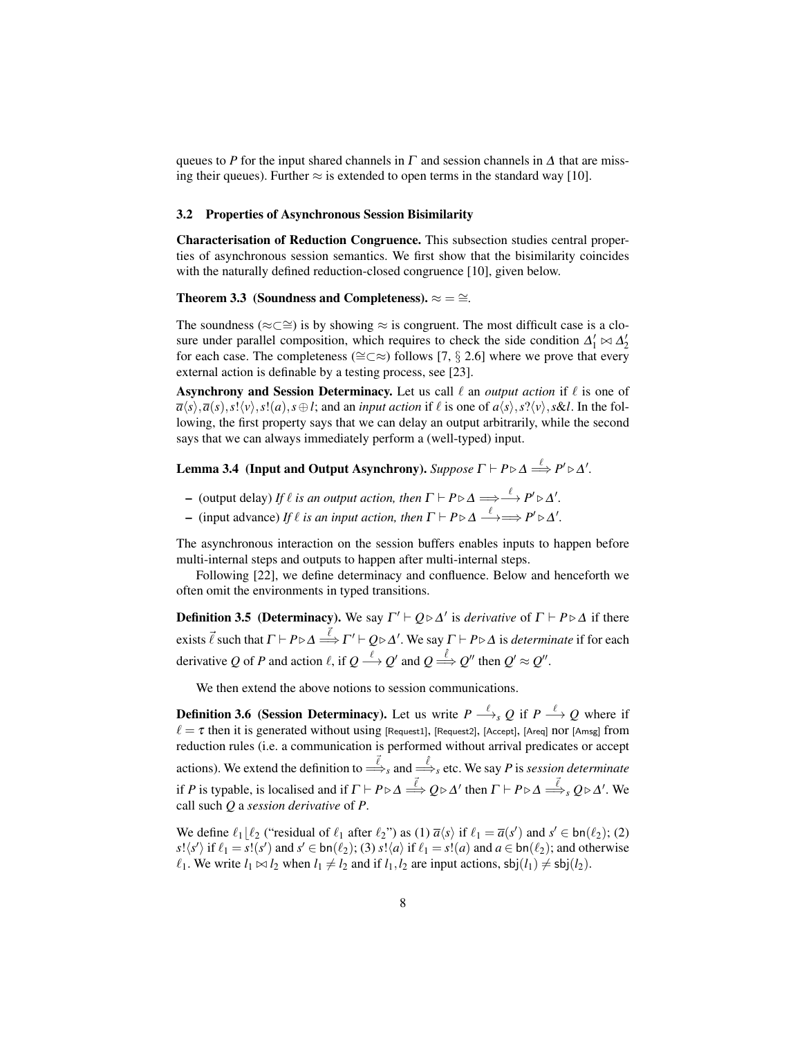queues to *P* for the input shared channels in  $\Gamma$  and session channels in  $\Delta$  that are missing their queues). Further  $\approx$  is extended to open terms in the standard way [10].

#### 3.2 Properties of Asynchronous Session Bisimilarity

Characterisation of Reduction Congruence. This subsection studies central properties of asynchronous session semantics. We first show that the bisimilarity coincides with the naturally defined reduction-closed congruence [10], given below.

#### Theorem 3.3 (Soundness and Completeness).  $\approx = \approx$ .

The soundness ( $\approx \subset \cong$ ) is by showing  $\approx$  is congruent. The most difficult case is a closure under parallel composition, which requires to check the side condition  $\Delta'_1 \bowtie \Delta'_2$ for each case. The completeness ( $\cong \subset \approx$ ) follows [7, § 2.6] where we prove that every external action is definable by a testing process, see [23].

**Asynchrony and Session Determinacy.** Let us call  $\ell$  an *output action* if  $\ell$  is one of  $\overline{a}(s), \overline{a}(s), s!(v), s!(a), s \oplus l$ ; and an *input action* if  $\ell$  is one of  $a\langle s \rangle, s? \langle v \rangle, s \& l$ . In the following, the first property says that we can delay an output arbitrarily, while the second says that we can always immediately perform a (well-typed) input.

# Lemma 3.4 (Input and Output Asynchrony). *Suppose*  $\Gamma \vdash P \triangleright \Delta \stackrel{\ell}{\Longrightarrow} P' \triangleright \Delta'.$

- $-$  (output delay) *If*  $\ell$  *is an output action, then*  $\Gamma \vdash P \triangleright \Delta \Longrightarrow^{\ell} P' \triangleright \Delta'.$
- $-$  (input advance) *If*  $\ell$  *is an input action, then*  $\Gamma \vdash P \triangleright \Delta \stackrel{\ell}{\longrightarrow} \Longrightarrow P' \triangleright \Delta'.$

The asynchronous interaction on the session buffers enables inputs to happen before multi-internal steps and outputs to happen after multi-internal steps.

Following [22], we define determinacy and confluence. Below and henceforth we often omit the environments in typed transitions.

**Definition 3.5** (Determinacy). We say  $\Gamma' \vdash Q \triangleright \Delta'$  is *derivative* of  $\Gamma \vdash P \triangleright \Delta$  if there exists  $\vec{\ell}$  such that  $\Gamma \vdash P \triangleright \Delta \stackrel{\vec{\ell}}{\Longrightarrow} \Gamma' \vdash Q \triangleright \Delta'.$  We say  $\Gamma \vdash P \triangleright \Delta$  is *determinate* if for each derivative *Q* of *P* and action  $\ell$ , if  $Q \stackrel{\ell}{\longrightarrow} Q'$  and  $Q \stackrel{\hat{\ell}}{\Longrightarrow} Q''$  then  $Q' \approx Q''$ .

We then extend the above notions to session communications.

**Definition 3.6 (Session Determinacy).** Let us write  $P \stackrel{\ell}{\longrightarrow}_s Q$  if  $P \stackrel{\ell}{\longrightarrow} Q$  where if  $\ell = \tau$  then it is generated without using [Request1], [Request2], [Accept], [Areq] nor [Amsg] from reduction rules (i.e. a communication is performed without arrival predicates or accept actions). We extend the definition to  $\stackrel{\vec{\ell}}{\Longrightarrow}_s$  and  $\stackrel{\hat{\ell}}{\Longrightarrow}_s$  etc. We say P is *session determinate* if *P* is typable, is localised and if  $\Gamma \vdash P \triangleright \Delta \stackrel{\overline{\ell}}{\Longrightarrow} Q \triangleright \Delta'$  then  $\Gamma \vdash P \triangleright \Delta \stackrel{\overline{\ell}}{\Longrightarrow} g \triangleright \Delta'$ . We call such *Q* a *session derivative* of *P*.

We define  $\ell_1 \lfloor \ell_2$  ("residual of  $\ell_1$  after  $\ell_2$ ") as (1)  $\overline{a}\langle s \rangle$  if  $\ell_1 = \overline{a}(s')$  and  $s' \in \text{bn}(\ell_2)$ ; (2)  $s! \langle s' \rangle$  if  $\ell_1 = s! (s')$  and  $s' \in \mathsf{bn}(\ell_2)$ ; (3)  $s! \langle a \rangle$  if  $\ell_1 = s! (a)$  and  $a \in \mathsf{bn}(\ell_2)$ ; and otherwise  $\ell_1$ . We write  $l_1 \Join l_2$  when  $l_1 \neq l_2$  and if  $l_1, l_2$  are input actions,  $sbj(l_1) \neq sbj(l_2)$ .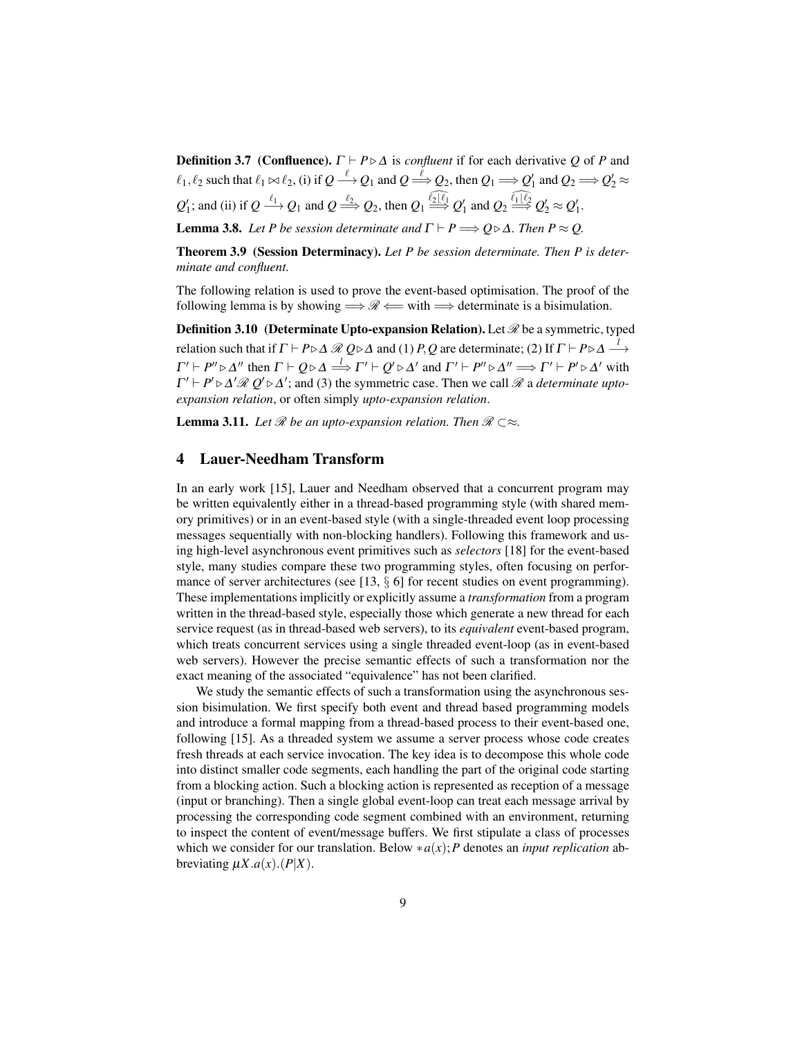**Definition 3.7** (Confluence).  $\Gamma \vdash P \triangleright \Delta$  is *confluent* if for each derivative *Q* of *P* and  $\ell_1, \ell_2$  such that  $\ell_1 \bowtie \ell_2$ , (i) if  $Q \stackrel{\ell}{\longrightarrow} Q_1$  and  $Q \stackrel{\ell}{\Longrightarrow} Q_2$ , then  $Q_1 \Longrightarrow Q_1'$  and  $Q_2 \Longrightarrow Q_2' \approx$  $Q'_1$ ; and (ii) if  $Q \xrightarrow{\ell_1} Q_1$  and  $Q \xrightarrow{\ell_2} Q_2$ , then  $Q_1 \xrightarrow{\ell_2 \mid \ell_1} Q'_1$  and  $Q_2 \xrightarrow{\ell_1 \mid \ell_2} Q'_2 \approx Q'_1$ .

**Lemma 3.8.** *Let P be session determinate and*  $\Gamma \vdash P \Longrightarrow Q \triangleright \Delta$ *. Then*  $P \approx Q$ *.* 

Theorem 3.9 (Session Determinacy). *Let P be session determinate. Then P is determinate and confluent.*

The following relation is used to prove the event-based optimisation. The proof of the following lemma is by showing  $\Longrightarrow \mathcal{R} \Longleftarrow$  with  $\Longrightarrow$  determinate is a bisimulation.

**Definition 3.10** (Determinate Upto-expansion Relation). Let  $\mathcal{R}$  be a symmetric, typed relation such that if  $\Gamma \vdash P \triangleright \Delta \mathcal{R} Q \triangleright \Delta$  and (1) *P*, *Q* are determinate; (2) If  $\Gamma \vdash P \triangleright \Delta \stackrel{l}{\longrightarrow}$  $\Gamma' \vdash P'' \triangleright \Delta''$  then  $\Gamma \vdash Q \triangleright \Delta \stackrel{l}{\Longrightarrow} \Gamma' \vdash Q' \triangleright \Delta'$  and  $\Gamma' \vdash P'' \triangleright \Delta'' \Longrightarrow \Gamma' \vdash P' \triangleright \Delta'$  with  $\Gamma' \vdash P' \triangleright \Delta' \mathcal{R} Q' \triangleright \Delta'$ ; and (3) the symmetric case. Then we call  $\mathcal{R}$  a *determinate uptoexpansion relation*, or often simply *upto-expansion relation*.

**Lemma 3.11.** *Let*  $\mathcal{R}$  *be an upto-expansion relation. Then*  $\mathcal{R} \subset \approx$ *.* 

## 4 Lauer-Needham Transform

In an early work [15], Lauer and Needham observed that a concurrent program may be written equivalently either in a thread-based programming style (with shared memory primitives) or in an event-based style (with a single-threaded event loop processing messages sequentially with non-blocking handlers). Following this framework and using high-level asynchronous event primitives such as *selectors* [18] for the event-based style, many studies compare these two programming styles, often focusing on performance of server architectures (see [13,  $\S$  6] for recent studies on event programming). These implementations implicitly or explicitly assume a *transformation* from a program written in the thread-based style, especially those which generate a new thread for each service request (as in thread-based web servers), to its *equivalent* event-based program, which treats concurrent services using a single threaded event-loop (as in event-based web servers). However the precise semantic effects of such a transformation nor the exact meaning of the associated "equivalence" has not been clarified.

We study the semantic effects of such a transformation using the asynchronous session bisimulation. We first specify both event and thread based programming models and introduce a formal mapping from a thread-based process to their event-based one, following [15]. As a threaded system we assume a server process whose code creates fresh threads at each service invocation. The key idea is to decompose this whole code into distinct smaller code segments, each handling the part of the original code starting from a blocking action. Such a blocking action is represented as reception of a message (input or branching). Then a single global event-loop can treat each message arrival by processing the corresponding code segment combined with an environment, returning to inspect the content of event/message buffers. We first stipulate a class of processes which we consider for our translation. Below ∗*a*(*x*);*P* denotes an *input replication* abbreviating  $\mu X.a(x).$  (*P*|*X*).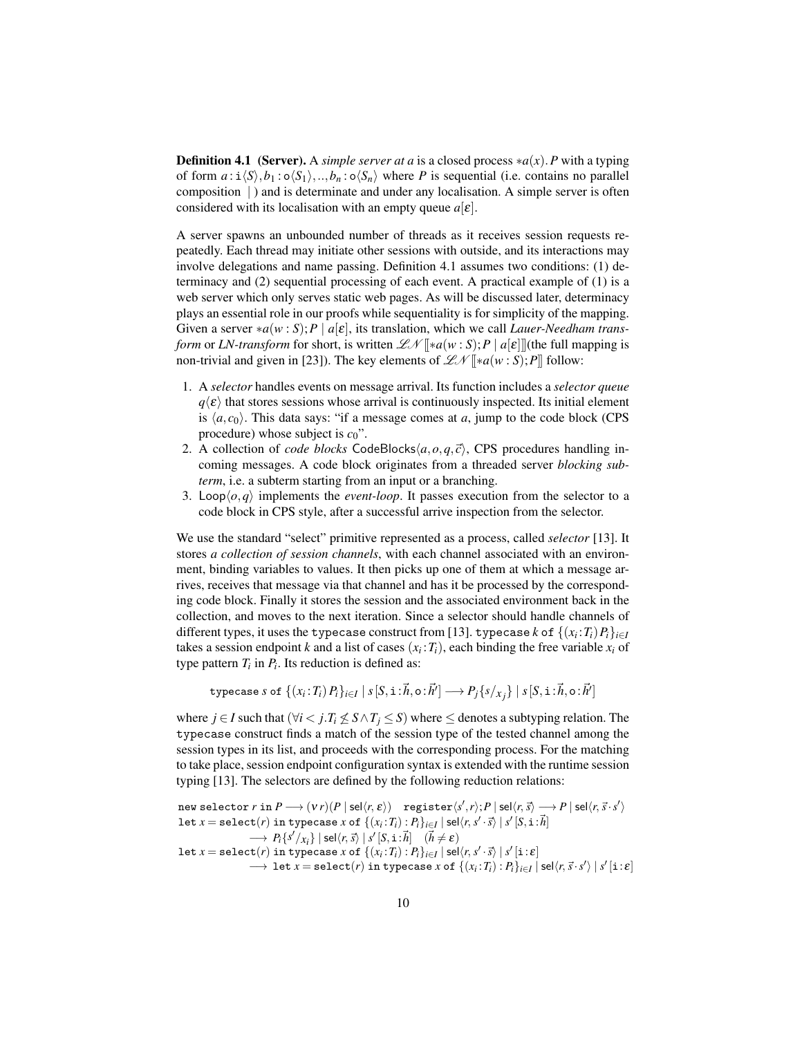**Definition 4.1** (Server). A *simple server at a* is a closed process  $*a(x)$ . P with a typing of form  $a : i\langle S \rangle, b_1 : o\langle S_1 \rangle, ..., b_n : o\langle S_n \rangle$  where *P* is sequential (i.e. contains no parallel composition  $|$  ) and is determinate and under any localisation. A simple server is often considered with its localisation with an empty queue  $a[\varepsilon]$ .

A server spawns an unbounded number of threads as it receives session requests repeatedly. Each thread may initiate other sessions with outside, and its interactions may involve delegations and name passing. Definition 4.1 assumes two conditions: (1) determinacy and (2) sequential processing of each event. A practical example of (1) is a web server which only serves static web pages. As will be discussed later, determinacy plays an essential role in our proofs while sequentiality is for simplicity of the mapping. Given a server  $*a(w: S); P | a[\varepsilon]$ , its translation, which we call *Lauer-Needham transform* or *LN-transform* for short, is written  $\mathcal{LN}$  [[\**a*(*w* : *S*); *P* | *a*[ $\varepsilon$ ]](the full mapping is non-trivial and given in [23]). The key elements of  $\mathcal{LN}$  [[\**a*(*w* : *S*); *P*]] follow:

- 1. A *selector* handles events on message arrival. Its function includes a *selector queue*  $q\langle \varepsilon \rangle$  that stores sessions whose arrival is continuously inspected. Its initial element is  $\langle a, c_0 \rangle$ . This data says: "if a message comes at *a*, jump to the code block (CPS procedure) whose subject is  $c_0$ ".
- 2. A collection of *code blocks* CodeBlocks $\langle a, o, q, \vec{c} \rangle$ , CPS procedures handling incoming messages. A code block originates from a threaded server *blocking subterm*, i.e. a subterm starting from an input or a branching.
- 3. Loop $\langle o, q \rangle$  implements the *event-loop*. It passes execution from the selector to a code block in CPS style, after a successful arrive inspection from the selector.

We use the standard "select" primitive represented as a process, called *selector* [13]. It stores *a collection of session channels*, with each channel associated with an environment, binding variables to values. It then picks up one of them at which a message arrives, receives that message via that channel and has it be processed by the corresponding code block. Finally it stores the session and the associated environment back in the collection, and moves to the next iteration. Since a selector should handle channels of different types, it uses the  $\tt typecase$  construct from [13].  $\tt typecase$   $k$  of  $\{(x_i\!:\!T_i)P_i\}_{i\in I}$ takes a session endpoint *k* and a list of cases  $(x_i : T_i)$ , each binding the free variable  $x_i$  of type pattern  $T_i$  in  $P_i$ . Its reduction is defined as:

$$
\texttt{typecase}\ s\ \texttt{of}\ \{(x_i\!:\!T_i) \, P_i\}_{i\in I} \mid s\,[S,\mathtt{i}\!:\!\vec{h}, \mathtt{o}\!:\!\vec{h'}] \longrightarrow P_j\{s/_{X_j}\} \mid s\,[S,\mathtt{i}\!:\!\vec{h}, \mathtt{o}\!:\!\vec{h'}]
$$

where  $j \in I$  such that  $(\forall i \le j$ .  $T_i \nleq S \land T_j \leq S)$  where  $\leq$  denotes a subtyping relation. The typecase construct finds a match of the session type of the tested channel among the session types in its list, and proceeds with the corresponding process. For the matching to take place, session endpoint configuration syntax is extended with the runtime session typing [13]. The selectors are defined by the following reduction relations:

 $\mathsf{new}\ \mathsf{selector}\ r\ \mathsf{in}\ P \longrightarrow (\mathsf{v}\ r)(P\ |\ \mathsf{sel}\langle r,\varepsilon\rangle)\quad\ \mathsf{register}\langle s',r\rangle;P\ |\ \mathsf{sel}\langle r,\vec{s}\rangle\longrightarrow P\ |\ \mathsf{sel}\langle r,\vec{s}\cdot s'\rangle$  $\det x = \texttt{select}(r) \texttt{ in typecase } x \texttt{ of } \{(x_i\text{: }T_i): P_i\}_{i\in I} \,|\, \texttt{sel}\langle r, s'\cdot\vec{s}\rangle \,|\, s'[S, \texttt{i}:\vec{h}]$  $\longrightarrow P_i\{s'/x_i\} \mid \mathsf{sel}\langle r, \vec{s}\rangle \mid s'[S, \texttt{i}:\vec{h}] \quad (\vec{h} \neq \varepsilon)$  $\texttt{let} \ x = \texttt{select}(r) \ \texttt{in} \ \texttt{typecase} \ x \ \texttt{of} \ \{ (x_i\text{:}T_i) \text{:} P_i \}_{i \in I} \ |\ \texttt{sel}\langle r, s' \cdot \vec{s} \rangle \ | \ s'[\texttt{i} : \texttt{\textcolor{red}{\epsilon}}]$  $\longrightarrow$  let  $x =$  select $(r)$  in typecase  $x$  of  $\{(x_i : T_i) : P_i\}_{i \in I}$   $|$  sel $\langle r, \vec{s} \cdot s' \rangle |$   $s'$   $[$  i:  $\varepsilon]$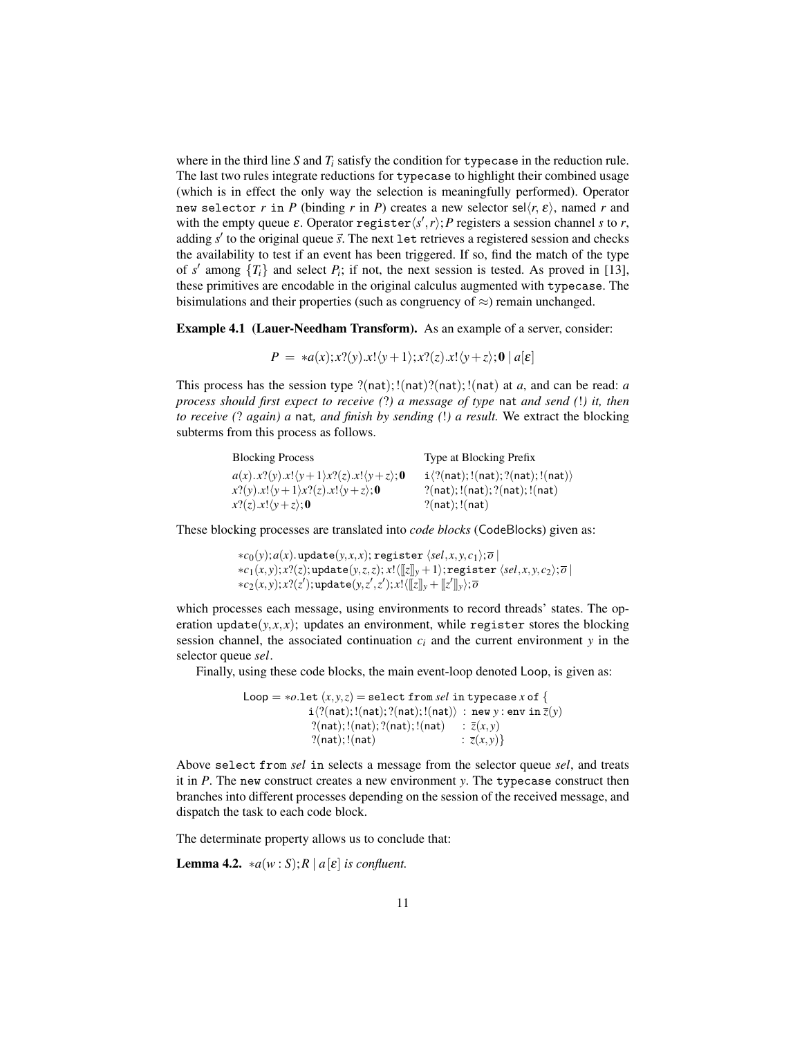where in the third line *S* and *T<sup>i</sup>* satisfy the condition for typecase in the reduction rule. The last two rules integrate reductions for typecase to highlight their combined usage (which is in effect the only way the selection is meaningfully performed). Operator new selector *r* in *P* (binding *r* in *P*) creates a new selector sel $\langle r, \varepsilon \rangle$ , named *r* and with the empty queue  $\varepsilon$ . Operator register $\langle s', r \rangle$ ; *P* registers a session channel *s* to *r*, adding  $s'$  to the original queue  $\vec{s}$ . The next let retrieves a registered session and checks the availability to test if an event has been triggered. If so, find the match of the type of s' among  ${T_i}$  and select  $P_i$ ; if not, the next session is tested. As proved in [13], these primitives are encodable in the original calculus augmented with typecase. The bisimulations and their properties (such as congruency of  $\approx$ ) remain unchanged.

Example 4.1 (Lauer-Needham Transform). As an example of a server, consider:

$$
P = *a(x); x?(y).x! \langle y+1 \rangle; x?(z).x! \langle y+z \rangle; \mathbf{0} | a[\varepsilon]
$$

This process has the session type  $?$ (nat);  $!(nat)$ ;  $!(nat)$  at *a*, and can be read: *a process should first expect to receive (*?*) a message of type* nat *and send (*!*) it, then to receive (*? *again) a* nat*, and finish by sending (*!*) a result.* We extract the blocking subterms from this process as follows.

| <b>Blocking Process</b>                                                              | Type at Blocking Prefix                                                      |
|--------------------------------------------------------------------------------------|------------------------------------------------------------------------------|
| $a(x)$ .x?(y).x! $\langle y+1\rangle$ x?(z).x! $\langle y+z\rangle$ ;0               | $i\langle ?(\text{nat}); !(\text{nat}); ?(\text{nat}); !(\text{nat})\rangle$ |
| $x?(\mathbf{y}).x!(\mathbf{y}+\mathbf{1})x?(z).x!(\mathbf{y}+\mathbf{z});\mathbf{0}$ | ?(nat); !(nat); ?(nat); !(nat)                                               |
| $x?(z).x!(y+z);0$                                                                    | ?(nat); !(nat)                                                               |

These blocking processes are translated into *code blocks* (CodeBlocks) given as:

 $* c_0(y); a(x)$ .update $(y, x, x);$  register  $\langle sel, x, y, c_1 \rangle; \overline{o}$  $*c_1(x, y); x?(z);$ update $(y, z, z);$   $x! \langle [[z]]_y + 1 \rangle;$ register  $\langle sel, x, y, c_2 \rangle; \overline{o}$  $* c_2(x,y); x? (z');$ update $(y,z',z');$ x $!\langle [\![z]\!]_y+[\![z']\!]_y \rangle ; \overline{o}$ 

which processes each message, using environments to record threads' states. The operation update( $y, x, x$ ); updates an environment, while register stores the blocking session channel, the associated continuation  $c_i$  and the current environment  $y$  in the selector queue *sel*.

Finally, using these code blocks, the main event-loop denoted Loop, is given as:

Loop =  $*$ *o*.let  $(x, y, z)$  = select from *sel* in typecase *x* of {  $i\langle ?(\text{nat}); !(\text{nat}); ?(\text{nat}); !(\text{nat})\rangle : \text{new } y : \text{env } \text{in } \overline{z}(y)$  $?$ (nat); !(nat); ?(nat); !(nat) :  $\bar{z}(x, y)$ ?(nat); !(nat) :  $\bar{z}(x, y)$ }

Above select from *sel* in selects a message from the selector queue *sel*, and treats it in *P*. The new construct creates a new environment *y*. The typecase construct then branches into different processes depending on the session of the received message, and dispatch the task to each code block.

The determinate property allows us to conclude that:

**Lemma 4.2.**  $*a(w: S); R | a[\varepsilon]$  *is confluent.*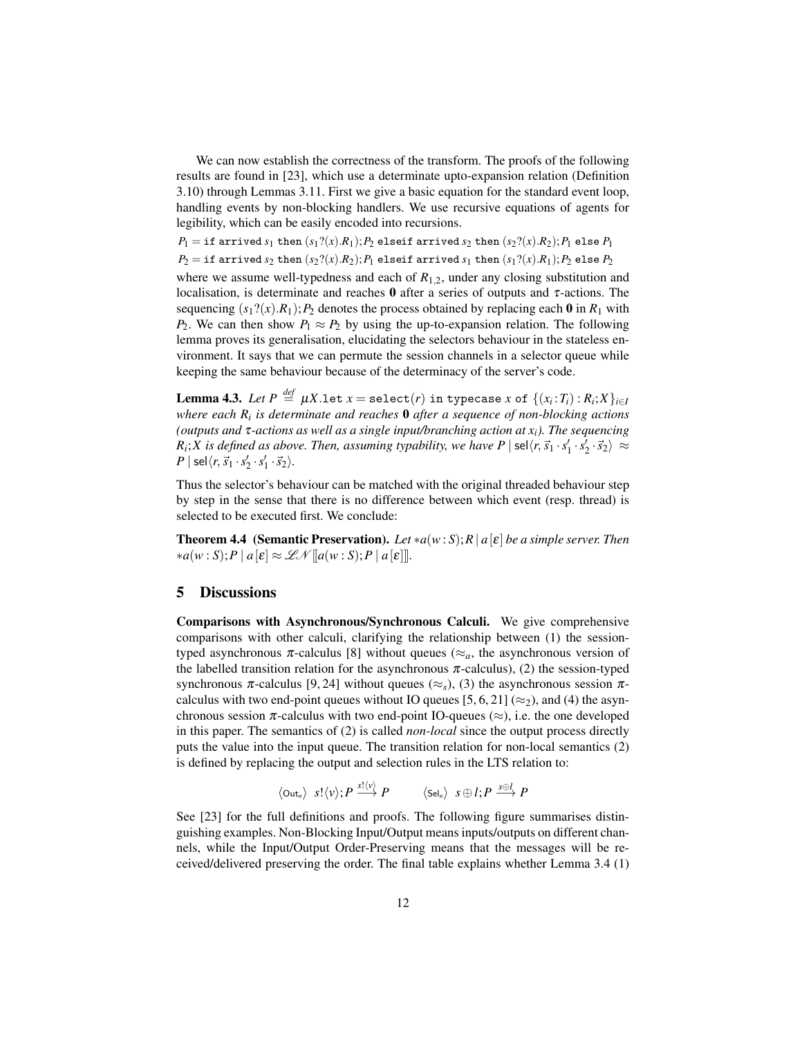We can now establish the correctness of the transform. The proofs of the following results are found in [23], which use a determinate upto-expansion relation (Definition 3.10) through Lemmas 3.11. First we give a basic equation for the standard event loop, handling events by non-blocking handlers. We use recursive equations of agents for legibility, which can be easily encoded into recursions.

 $P_1 = \text{if arrived } s_1 \text{ then } (s_1?(x).R_1); P_2 \text{ else if arrived } s_2 \text{ then } (s_2?(x).R_2); P_1 \text{ else } P_1$ 

 $P_2$  = if arrived  $s_2$  then  $(s_2?(x).R_2); P_1$  elseif arrived  $s_1$  then  $(s_1?(x).R_1); P_2$  else  $P_2$ 

where we assume well-typedness and each of  $R_{1,2}$ , under any closing substitution and localisation, is determinate and reaches  $\bf{0}$  after a series of outputs and  $\tau$ -actions. The sequencing  $(s_1?((x).R_1); P_2$  denotes the process obtained by replacing each 0 in  $R_1$  with *P*<sub>2</sub>. We can then show  $P_1 \approx P_2$  by using the up-to-expansion relation. The following lemma proves its generalisation, elucidating the selectors behaviour in the stateless environment. It says that we can permute the session channels in a selector queue while keeping the same behaviour because of the determinacy of the server's code.

 ${\bf L}$ emma 4.3.  $\,$   $Let$   $P \stackrel{def}{=} \mu X.$   ${\bf let}$   $x = {\tt select}(r)$   ${\tt in }$   ${\tt typecase}$   $x$  of  $\{(x_i\!:\!T_i): R_i\!:\!X\}_{i\in I}$ *where each R<sup>i</sup> is determinate and reaches* 0 *after a sequence of non-blocking actions (outputs and* τ*-actions as well as a single input/branching action at xi). The sequencing*  $R_i$ ; *X* is defined as above. Then, assuming typability, we have P  $|$  sel $\langle r, \vec{s}_1 \cdot s_1' \cdot s_2' \cdot \vec{s}_2 \rangle \approx$  $P | \text{sel}\langle r, \vec{s}_1 \cdot s'_2 \cdot s'_1 \cdot \vec{s}_2 \rangle.$ 

Thus the selector's behaviour can be matched with the original threaded behaviour step by step in the sense that there is no difference between which event (resp. thread) is selected to be executed first. We conclude:

Theorem 4.4 (Semantic Preservation). *Let* ∗*a*(*w* : *S*);*R* | *a*[ε] *be a simple server. Then*  $* a(w: S); P | a[ε] ≈ \mathcal{LN}[[a(w: S); P | a[ε]]].$ 

## 5 Discussions

Comparisons with Asynchronous/Synchronous Calculi. We give comprehensive comparisons with other calculi, clarifying the relationship between (1) the sessiontyped asynchronous  $\pi$ -calculus [8] without queues ( $\approx_a$ , the asynchronous version of the labelled transition relation for the asynchronous  $\pi$ -calculus), (2) the session-typed synchronous  $\pi$ -calculus [9, 24] without queues ( $\approx$ <sub>s</sub>), (3) the asynchronous session  $\pi$ calculus with two end-point queues without IO queues [5, 6, 21] ( $\approx$ ), and (4) the asynchronous session  $\pi$ -calculus with two end-point IO-queues ( $\approx$ ), i.e. the one developed in this paper. The semantics of (2) is called *non-local* since the output process directly puts the value into the input queue. The transition relation for non-local semantics (2) is defined by replacing the output and selection rules in the LTS relation to:

$$
\langle \text{\rm Out}_n \rangle \;\; s! \langle \nu \rangle ; P \stackrel{s! \langle \nu \rangle}{\longrightarrow} P \qquad \quad \langle \text{\rm Sel}_n \rangle \;\; s \oplus l ; P \stackrel{s \oplus l}{\longrightarrow} P
$$

See [23] for the full definitions and proofs. The following figure summarises distinguishing examples. Non-Blocking Input/Output means inputs/outputs on different channels, while the Input/Output Order-Preserving means that the messages will be received/delivered preserving the order. The final table explains whether Lemma 3.4 (1)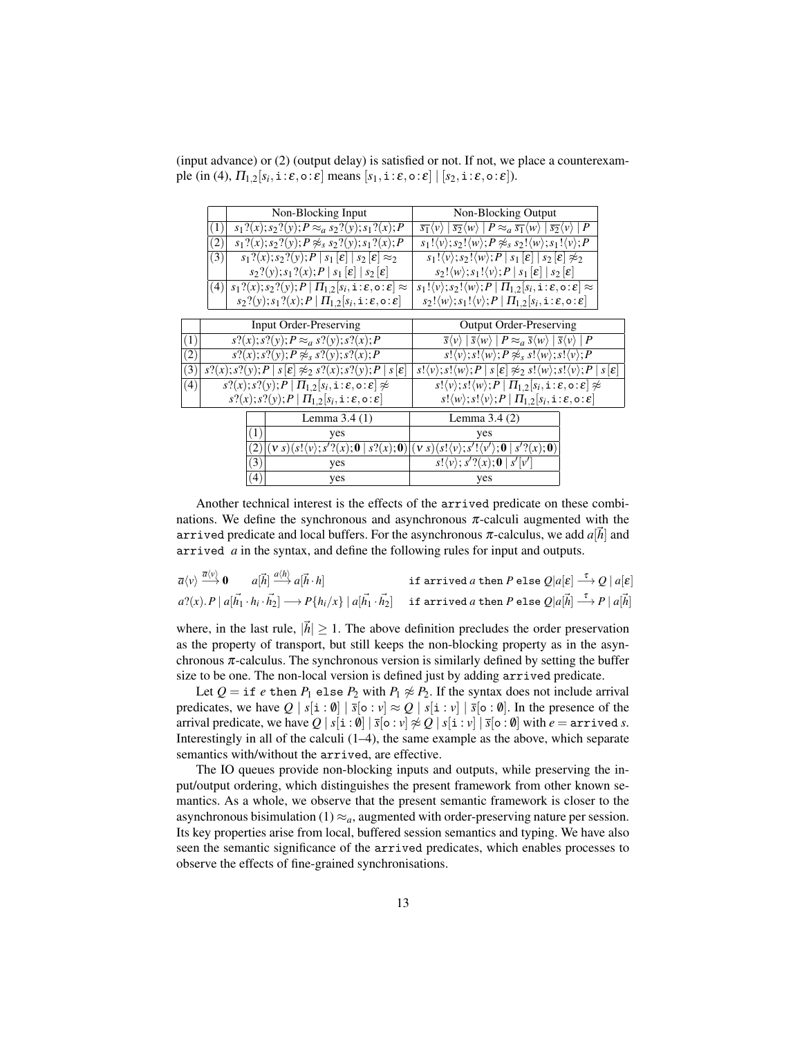(input advance) or (2) (output delay) is satisfied or not. If not, we place a counterexample (in (4),  $\Pi_{1,2}[s_i, i:\epsilon, o:\epsilon]$  means  $[s_1, i:\epsilon, o:\epsilon] | [s_2, i:\epsilon, o:\epsilon]$ ).

|     |                   | Non-Blocking Input                                                                                              | Non-Blocking Output                                                                                                                                                |  |
|-----|-------------------|-----------------------------------------------------------------------------------------------------------------|--------------------------------------------------------------------------------------------------------------------------------------------------------------------|--|
|     | (1)               | $s_1?(x); s_2?(y); P \approx_a s_2?(y); s_1?(x); P$                                                             | $\overline{s_1}\langle v\rangle$ $\overline{s_2}\langle w\rangle$   $P \approx_a \overline{s_1}\langle w\rangle$   $\overline{s_2}\langle v\rangle$   $P$          |  |
|     | $\left( 2\right)$ | $s_1?(x); s_2?(y); P \not\approx_s s_2?(y); s_1?(x); P$                                                         | $s_1!\langle v\rangle; s_2!\langle w\rangle; P \not\approx_s s_2!\langle w\rangle; s_1!\langle v\rangle; P$                                                        |  |
|     | (3)               | $s_1$ ? $(x)$ ; $s_2$ ? $(y)$ ; $P   s_1 [\varepsilon     s_2 [\varepsilon   \approx_2$                         | $s_1! \langle v \rangle; s_2! \langle w \rangle; P \mid s_1 \mid \varepsilon \mid s_2 \mid \varepsilon \rangle \nless 2$                                           |  |
|     |                   | $s_2?(\mathbf{y}); s_1?(\mathbf{x}); P   s_1[\varepsilon]   s_2[\varepsilon]$                                   | $s_2!\langle w\rangle; s_1!\langle v\rangle; P   s_1[\varepsilon]  s_2[\varepsilon]$                                                                               |  |
|     | (4)               | $s_1$ ?(x); $s_2$ ?(y); $P \mid \Pi_{1,2}[s_i, \mathbf{i} : \varepsilon, \mathbf{o} : \varepsilon] \approx$     | $s_1! \langle v \rangle; s_2! \langle w \rangle; P   \Pi_{1,2}[s_i, \mathbf{i} : \varepsilon, \mathbf{o} : \varepsilon] \approx$                                   |  |
|     |                   | $s_2?(\mathbf{y}); s_1?(\mathbf{x}); P \mid \Pi_{1,2}[s_i, \mathbf{i} : \varepsilon, \mathbf{o} : \varepsilon]$ | $s_2! \langle w \rangle; s_1! \langle v \rangle; P   \Pi_{1,2}[s_i, \mathbf{i} : \varepsilon, \mathbf{o} : \varepsilon]$                                           |  |
|     |                   |                                                                                                                 |                                                                                                                                                                    |  |
|     |                   | Input Order-Preserving                                                                                          | <b>Output Order-Preserving</b>                                                                                                                                     |  |
| (1) |                   | $\overline{s?(x);s?(y)}$ ; $P \approx_a s?(y)$ ; $s?(x)$ ; $P$                                                  | $\overline{s}\langle v\rangle \left \overline{s}\langle w\rangle\right  P \approx_a \overline{s}\langle w\rangle \left \overline{s}\langle v\rangle\right  P$      |  |
| (2) |                   | $s?(x); s?(y); P \not\approx_s s?(y); s?(x); P$                                                                 | $s! \langle v \rangle; s! \langle w \rangle; P \not\approx_s s! \langle w \rangle; s! \langle v \rangle; P$                                                        |  |
| (3) |                   | $s?(x); s?(y); P   s[\varepsilon] \not\approx_2 s?(x); s?(y); P   s[\varepsilon]$                               | $s! \langle v \rangle; s! \langle w \rangle; P \mid s \in \neq_2 s! \langle w \rangle; s! \langle v \rangle; P \mid s \in$                                         |  |
| (4) |                   | $s?(x); s?(y); P   \Pi_{1,2}[s_i, \mathbf{i} : \varepsilon, \mathbf{o} : \varepsilon] \not\approx$              | $s! \langle v \rangle; s! \langle w \rangle; P \mid \Pi_{1,2}[s_i, \texttt{i} : \varepsilon, \texttt{o} : \varepsilon] \not\approx$                                |  |
|     |                   | $s(2(x); s(2(y); P   H_{1,2}[s_i, i:\epsilon, o:\epsilon])$                                                     | $s! \langle w \rangle; s! \langle v \rangle; P   \Pi_{1,2}[s_i, \mathbf{i} : \varepsilon, \mathbf{o} : \varepsilon]$                                               |  |
|     |                   | Lemma $3.4(1)$                                                                                                  | Lemma $3.4(2)$                                                                                                                                                     |  |
|     |                   | $\left(1\right)$<br>yes                                                                                         | yes                                                                                                                                                                |  |
|     |                   | $\overline{c}$                                                                                                  | $(\mathcal{V}\ s)(s!(\mathcal{V}); s'?(x);\mathbf{0}\mid s?(x);\mathbf{0}) [(\mathcal{V}\ s)(s!(\mathcal{V}); s'!(\mathcal{V}');\mathbf{0}\mid s'?(x);\mathbf{0})$ |  |
|     |                   | $\left 3\right\rangle$<br>yes                                                                                   | $s! \langle v \rangle$ ; $s'? \langle x \rangle$ ; $\mathbf{0}   s'   v' \rangle$                                                                                  |  |
|     |                   | $\overline{\mathcal{A}}$<br>yes                                                                                 | yes                                                                                                                                                                |  |
|     |                   |                                                                                                                 |                                                                                                                                                                    |  |

Another technical interest is the effects of the arrived predicate on these combinations. We define the synchronous and asynchronous  $\pi$ -calculi augmented with the arrived predicate and local buffers. For the asynchronous  $\pi$ -calculus, we add  $a[h]$  and arrived *a* in the syntax, and define the following rules for input and outputs.

| $\overline{a}\langle v \rangle \stackrel{\overline{a}\langle v \rangle}{\longrightarrow} 0$ $a[\overrightarrow{h}] \stackrel{a\langle h \rangle}{\longrightarrow} a[\overrightarrow{h} \cdot h]$ | if arrived a then P else $Q a[\varepsilon] \stackrel{\tau}{\longrightarrow} Q  a[\varepsilon]$                                                                                                                |
|--------------------------------------------------------------------------------------------------------------------------------------------------------------------------------------------------|---------------------------------------------------------------------------------------------------------------------------------------------------------------------------------------------------------------|
|                                                                                                                                                                                                  | $a?(x) \cdot P  a[\vec{h_1} \cdot \vec{h_i} \cdot \vec{h_2}] \longrightarrow P\{h_i/x\}  a[\vec{h_1} \cdot \vec{h_2}]$ if arrived a then P else $Q a[\vec{h}] \stackrel{\tau}{\longrightarrow} P  a[\vec{h}]$ |

where, in the last rule,  $|\vec{h}| \geq 1$ . The above definition precludes the order preservation as the property of transport, but still keeps the non-blocking property as in the asynchronous  $\pi$ -calculus. The synchronous version is similarly defined by setting the buffer size to be one. The non-local version is defined just by adding arrived predicate.

Let  $Q =$  if *e* then  $P_1$  else  $P_2$  with  $P_1 \not\approx P_2$ . If the syntax does not include arrival predicates, we have  $Q \mid s[i : \emptyset] \mid \overline{s}[o : v] \approx Q \mid s[i : v] \mid \overline{s}[o : \emptyset]$ . In the presence of the arrival predicate, we have  $Q | s[i : 0] | \overline{s}[\circ : v] \not\approx Q | s[i : v] | \overline{s}[\circ : 0]$  with  $e =$  arrived *s*. Interestingly in all of the calculi  $(1-4)$ , the same example as the above, which separate semantics with/without the arrived, are effective.

The IO queues provide non-blocking inputs and outputs, while preserving the input/output ordering, which distinguishes the present framework from other known semantics. As a whole, we observe that the present semantic framework is closer to the asynchronous bisimulation (1)  $\approx_a$ , augmented with order-preserving nature per session. Its key properties arise from local, buffered session semantics and typing. We have also seen the semantic significance of the arrived predicates, which enables processes to observe the effects of fine-grained synchronisations.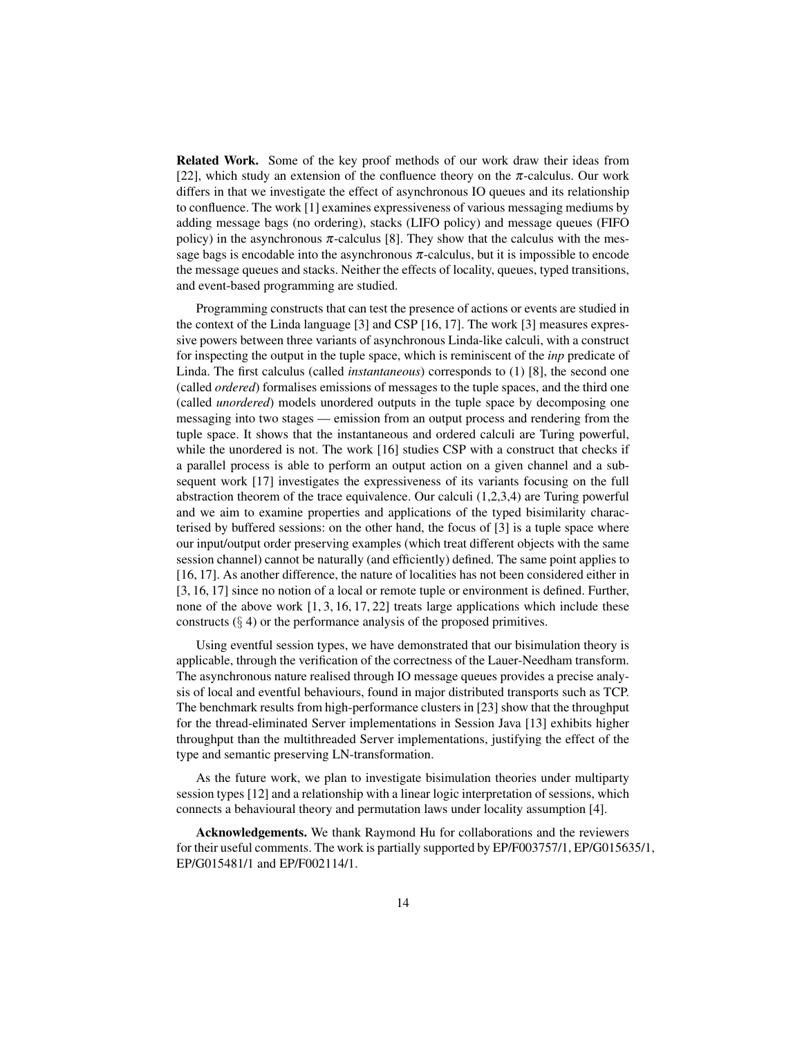Related Work. Some of the key proof methods of our work draw their ideas from [22], which study an extension of the confluence theory on the  $\pi$ -calculus. Our work differs in that we investigate the effect of asynchronous IO queues and its relationship to confluence. The work [1] examines expressiveness of various messaging mediums by adding message bags (no ordering), stacks (LIFO policy) and message queues (FIFO policy) in the asynchronous  $\pi$ -calculus [8]. They show that the calculus with the message bags is encodable into the asynchronous  $\pi$ -calculus, but it is impossible to encode the message queues and stacks. Neither the effects of locality, queues, typed transitions, and event-based programming are studied.

Programming constructs that can test the presence of actions or events are studied in the context of the Linda language [3] and CSP [16, 17]. The work [3] measures expressive powers between three variants of asynchronous Linda-like calculi, with a construct for inspecting the output in the tuple space, which is reminiscent of the *inp* predicate of Linda. The first calculus (called *instantaneous*) corresponds to (1) [8], the second one (called *ordered*) formalises emissions of messages to the tuple spaces, and the third one (called *unordered*) models unordered outputs in the tuple space by decomposing one messaging into two stages — emission from an output process and rendering from the tuple space. It shows that the instantaneous and ordered calculi are Turing powerful, while the unordered is not. The work [16] studies CSP with a construct that checks if a parallel process is able to perform an output action on a given channel and a subsequent work [17] investigates the expressiveness of its variants focusing on the full abstraction theorem of the trace equivalence. Our calculi (1,2,3,4) are Turing powerful and we aim to examine properties and applications of the typed bisimilarity characterised by buffered sessions: on the other hand, the focus of [3] is a tuple space where our input/output order preserving examples (which treat different objects with the same session channel) cannot be naturally (and efficiently) defined. The same point applies to [16, 17]. As another difference, the nature of localities has not been considered either in [3, 16, 17] since no notion of a local or remote tuple or environment is defined. Further, none of the above work  $[1, 3, 16, 17, 22]$  treats large applications which include these constructs  $(\S 4)$  or the performance analysis of the proposed primitives.

Using eventful session types, we have demonstrated that our bisimulation theory is applicable, through the verification of the correctness of the Lauer-Needham transform. The asynchronous nature realised through IO message queues provides a precise analysis of local and eventful behaviours, found in major distributed transports such as TCP. The benchmark results from high-performance clusters in [23] show that the throughput for the thread-eliminated Server implementations in Session Java [13] exhibits higher throughput than the multithreaded Server implementations, justifying the effect of the type and semantic preserving LN-transformation.

As the future work, we plan to investigate bisimulation theories under multiparty session types [12] and a relationship with a linear logic interpretation of sessions, which connects a behavioural theory and permutation laws under locality assumption [4].

Acknowledgements. We thank Raymond Hu for collaborations and the reviewers for their useful comments. The work is partially supported by EP/F003757/1, EP/G015635/1, EP/G015481/1 and EP/F002114/1.